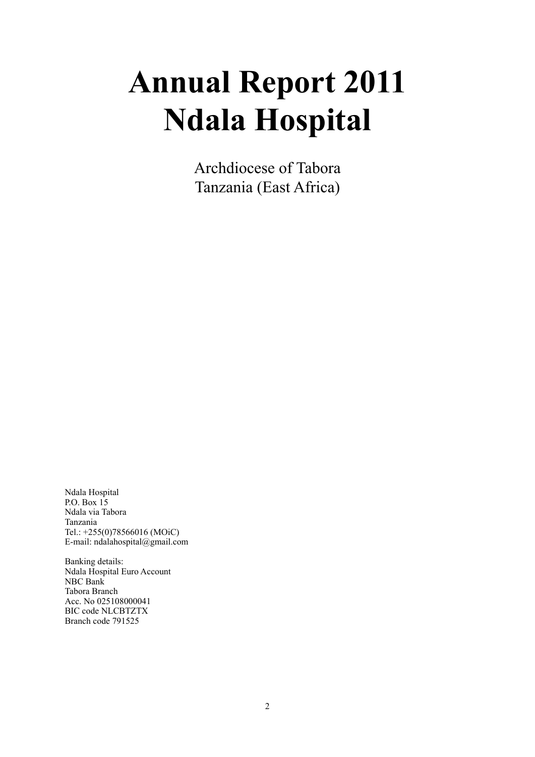# **Annual Report 2011 Ndala Hospital**

Archdiocese of Tabora Tanzania (East Africa)

Ndala Hospital P.O. Box 15 Ndala via Tabora Tanzania Tel.: +255(0)78566016 (MOiC) E-mail: [ndalahospital@gmail.com](mailto:ndalahospital@yahoo.com)

Banking details: Ndala Hospital Euro Account NBC Bank Tabora Branch Acc. No 025108000041 BIC code NLCBTZTX Branch code 791525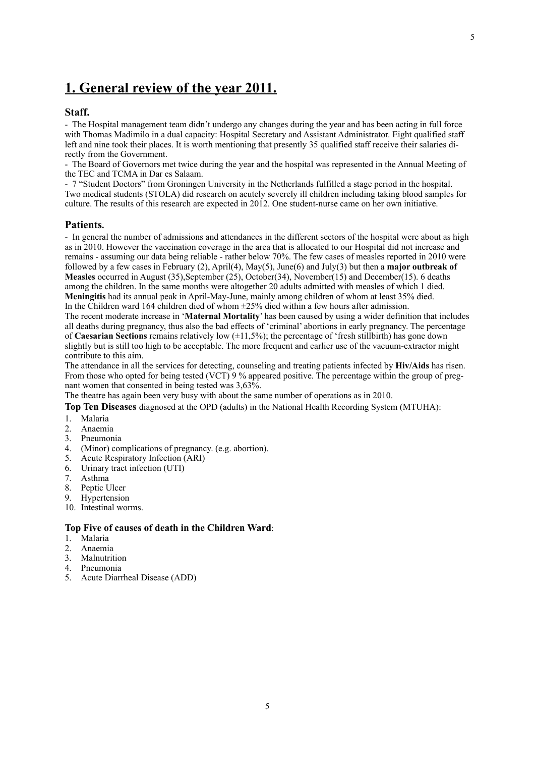# <span id="page-3-0"></span>**1. General review of the year 2011.**

## **Staff.**

- The Hospital management team didn't undergo any changes during the year and has been acting in full force with Thomas Madimilo in a dual capacity: Hospital Secretary and Assistant Administrator. Eight qualified staff left and nine took their places. It is worth mentioning that presently 35 qualified staff receive their salaries directly from the Government.

- The Board of Governors met twice during the year and the hospital was represented in the Annual Meeting of the TEC and TCMA in Dar es Salaam.

- 7 "Student Doctors" from Groningen University in the Netherlands fulfilled a stage period in the hospital. Two medical students (STOLA) did research on acutely severely ill children including taking blood samples for culture. The results of this research are expected in 2012. One student-nurse came on her own initiative.

#### **Patients.**

- In general the number of admissions and attendances in the different sectors of the hospital were about as high as in 2010. However the vaccination coverage in the area that is allocated to our Hospital did not increase and remains - assuming our data being reliable - rather below 70%. The few cases of measles reported in 2010 were followed by a few cases in February (2), April(4), May(5), June(6) and July(3) but then a **major outbreak of Measles** occurred in August (35),September (25), October(34), November(15) and December(15). 6 deaths among the children. In the same months were altogether 20 adults admitted with measles of which 1 died. **Meningitis** had its annual peak in April-May-June, mainly among children of whom at least 35% died. In the Children ward 164 children died of whom ±25% died within a few hours after admission.

The recent moderate increase in '**Maternal Mortality**' has been caused by using a wider definition that includes all deaths during pregnancy, thus also the bad effects of 'criminal' abortions in early pregnancy. The percentage of **Caesarian Sections** remains relatively low (±11,5%); the percentage of 'fresh stillbirth) has gone down slightly but is still too high to be acceptable. The more frequent and earlier use of the vacuum-extractor might contribute to this aim.

The attendance in all the services for detecting, counseling and treating patients infected by **Hiv/Aids** has risen. From those who opted for being tested (VCT) 9 % appeared positive. The percentage within the group of pregnant women that consented in being tested was 3,63%.

The theatre has again been very busy with about the same number of operations as in 2010.

**Top Ten Diseases** diagnosed at the OPD (adults) in the National Health Recording System (MTUHA):

- 1. Malaria
- 2. Anaemia
- Pneumonia
- 4. (Minor) complications of pregnancy. (e.g. abortion).
- 5. Acute Respiratory Infection (ARI)
- 6. Urinary tract infection (UTI)
- 7. Asthma
- 8. Peptic Ulcer
- 9. Hypertension
- 10. Intestinal worms.

#### **Top Five of causes of death in the Children Ward**:

- 1. Malaria
- 2. Anaemia
- 3. Malnutrition
- 4. Pneumonia
- 5. Acute Diarrheal Disease (ADD)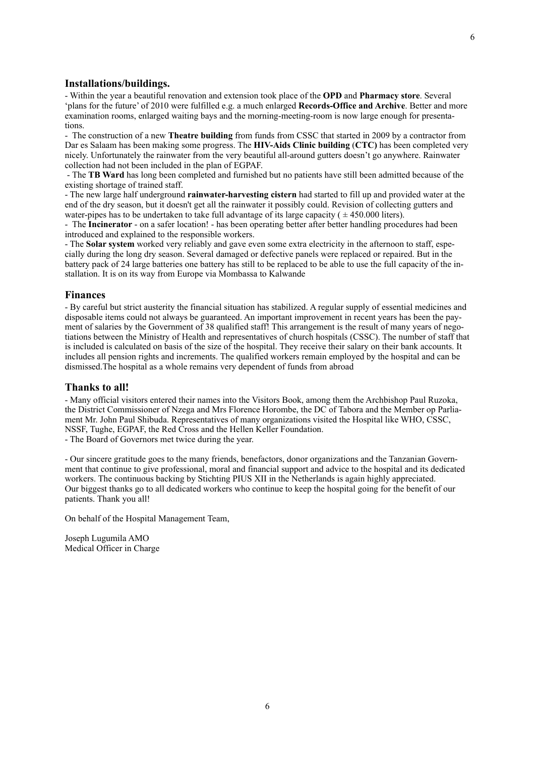## **Installations/buildings.**

- Within the year a beautiful renovation and extension took place of the **OPD** and **Pharmacy store**. Several 'plans for the future' of 2010 were fulfilled e.g. a much enlarged **Records-Office and Archive**. Better and more examination rooms, enlarged waiting bays and the morning-meeting-room is now large enough for presentations.

- The construction of a new **Theatre building** from funds from CSSC that started in 2009 by a contractor from Dar es Salaam has been making some progress. The **HIV-Aids Clinic building** (**CTC)** has been completed very nicely. Unfortunately the rainwater from the very beautiful all-around gutters doesn't go anywhere. Rainwater collection had not been included in the plan of EGPAF.

 - The **TB Ward** has long been completed and furnished but no patients have still been admitted because of the existing shortage of trained staff.

- The new large half underground **rainwater-harvesting cistern** had started to fill up and provided water at the end of the dry season, but it doesn't get all the rainwater it possibly could. Revision of collecting gutters and water-pipes has to be undertaken to take full advantage of its large capacity ( $\pm$  450.000 liters).

- The **Incinerator** - on a safer location! - has been operating better after better handling procedures had been introduced and explained to the responsible workers.

- The **Solar system** worked very reliably and gave even some extra electricity in the afternoon to staff, especially during the long dry season. Several damaged or defective panels were replaced or repaired. But in the battery pack of 24 large batteries one battery has still to be replaced to be able to use the full capacity of the installation. It is on its way from Europe via Mombassa to Kalwande

#### **Finances**

- By careful but strict austerity the financial situation has stabilized. A regular supply of essential medicines and disposable items could not always be guaranteed. An important improvement in recent years has been the payment of salaries by the Government of 38 qualified staff! This arrangement is the result of many years of negotiations between the Ministry of Health and representatives of church hospitals (CSSC). The number of staff that is included is calculated on basis of the size of the hospital. They receive their salary on their bank accounts. It includes all pension rights and increments. The qualified workers remain employed by the hospital and can be dismissed.The hospital as a whole remains very dependent of funds from abroad

#### **Thanks to all!**

- Many official visitors entered their names into the Visitors Book, among them the Archbishop Paul Ruzoka, the District Commissioner of Nzega and Mrs Florence Horombe, the DC of Tabora and the Member op Parliament Mr. John Paul Shibuda. Representatives of many organizations visited the Hospital like WHO, CSSC, NSSF, Tughe, EGPAF, the Red Cross and the Hellen Keller Foundation.

- The Board of Governors met twice during the year.

- Our sincere gratitude goes to the many friends, benefactors, donor organizations and the Tanzanian Government that continue to give professional, moral and financial support and advice to the hospital and its dedicated workers. The continuous backing by Stichting PIUS XII in the Netherlands is again highly appreciated. Our biggest thanks go to all dedicated workers who continue to keep the hospital going for the benefit of our patients. Thank you all!

On behalf of the Hospital Management Team,

Joseph Lugumila AMO Medical Officer in Charge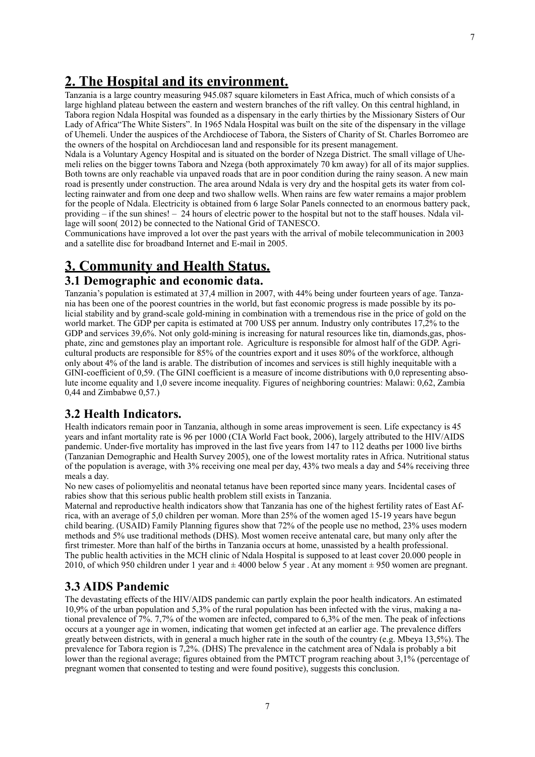## <span id="page-5-0"></span>**2. The Hospital and its environment.**

Tanzania is a large country measuring 945.087 square kilometers in East Africa, much of which consists of a large highland plateau between the eastern and western branches of the rift valley. On this central highland, in Tabora region Ndala Hospital was founded as a dispensary in the early thirties by the Missionary Sisters of Our Lady of Africa"The White Sisters". In 1965 Ndala Hospital was built on the site of the dispensary in the village of Uhemeli. Under the auspices of the Archdiocese of Tabora, the Sisters of Charity of St. Charles Borromeo are the owners of the hospital on Archdiocesan land and responsible for its present management.

Ndala is a Voluntary Agency Hospital and is situated on the border of Nzega District. The small village of Uhemeli relies on the bigger towns Tabora and Nzega (both approximately 70 km away) for all of its major supplies. Both towns are only reachable via unpaved roads that are in poor condition during the rainy season. A new main road is presently under construction. The area around Ndala is very dry and the hospital gets its water from collecting rainwater and from one deep and two shallow wells. When rains are few water remains a major problem for the people of Ndala. Electricity is obtained from 6 large Solar Panels connected to an enormous battery pack, providing – if the sun shines! – 24 hours of electric power to the hospital but not to the staff houses. Ndala village will soon( 2012) be connected to the National Grid of TANESCO.

Communications have improved a lot over the past years with the arrival of mobile telecommunication in 2003 and a satellite disc for broadband Internet and E-mail in 2005.

# <span id="page-5-1"></span>**3. Community and Health Status.**

## <span id="page-5-2"></span>**3.1 Demographic and economic data.**

Tanzania's population is estimated at 37,4 million in 2007, with 44% being under fourteen years of age. Tanzania has been one of the poorest countries in the world, but fast economic progress is made possible by its policial stability and by grand-scale gold-mining in combination with a tremendous rise in the price of gold on the world market. The GDP per capita is estimated at 700 US\$ per annum. Industry only contributes 17,2% to the GDP and services 39.6%. Not only gold-mining is increasing for natural resources like tin, diamonds gas, phosphate, zinc and gemstones play an important role. Agriculture is responsible for almost half of the GDP. Agricultural products are responsible for 85% of the countries export and it uses 80% of the workforce, although only about 4% of the land is arable. The distribution of incomes and services is still highly inequitable with a GINI-coefficient of 0,59. (The GINI coefficient is a measure of income distributions with 0.0 representing absolute income equality and 1,0 severe income inequality. Figures of neighboring countries: Malawi: 0,62, Zambia 0,44 and Zimbabwe 0,57.)

## <span id="page-5-3"></span>**3.2 Health Indicators.**

Health indicators remain poor in Tanzania, although in some areas improvement is seen. Life expectancy is 45 years and infant mortality rate is 96 per 1000 (CIA World Fact book, 2006), largely attributed to the HIV/AIDS pandemic. Under-five mortality has improved in the last five years from 147 to 112 deaths per 1000 live births (Tanzanian Demographic and Health Survey 2005), one of the lowest mortality rates in Africa. Nutritional status of the population is average, with 3% receiving one meal per day, 43% two meals a day and 54% receiving three meals a day.

No new cases of poliomyelitis and neonatal tetanus have been reported since many years. Incidental cases of rabies show that this serious public health problem still exists in Tanzania.

Maternal and reproductive health indicators show that Tanzania has one of the highest fertility rates of East Africa, with an average of 5,0 children per woman. More than 25% of the women aged 15-19 years have begun child bearing. (USAID) Family Planning figures show that 72% of the people use no method, 23% uses modern methods and 5% use traditional methods (DHS). Most women receive antenatal care, but many only after the first trimester. More than half of the births in Tanzania occurs at home, unassisted by a health professional. The public health activities in the MCH clinic of Ndala Hospital is supposed to at least cover 20.000 people in 2010, of which 950 children under 1 year and  $\pm$  4000 below 5 year. At any moment  $\pm$  950 women are pregnant.

## <span id="page-5-4"></span>**3.3 AIDS Pandemic**

The devastating effects of the HIV/AIDS pandemic can partly explain the poor health indicators. An estimated 10,9% of the urban population and 5,3% of the rural population has been infected with the virus, making a national prevalence of 7%. 7,7% of the women are infected, compared to 6,3% of the men. The peak of infections occurs at a younger age in women, indicating that women get infected at an earlier age. The prevalence differs greatly between districts, with in general a much higher rate in the south of the country (e.g. Mbeya 13,5%). The prevalence for Tabora region is 7,2%. (DHS) The prevalence in the catchment area of Ndala is probably a bit lower than the regional average; figures obtained from the PMTCT program reaching about 3,1% (percentage of pregnant women that consented to testing and were found positive), suggests this conclusion.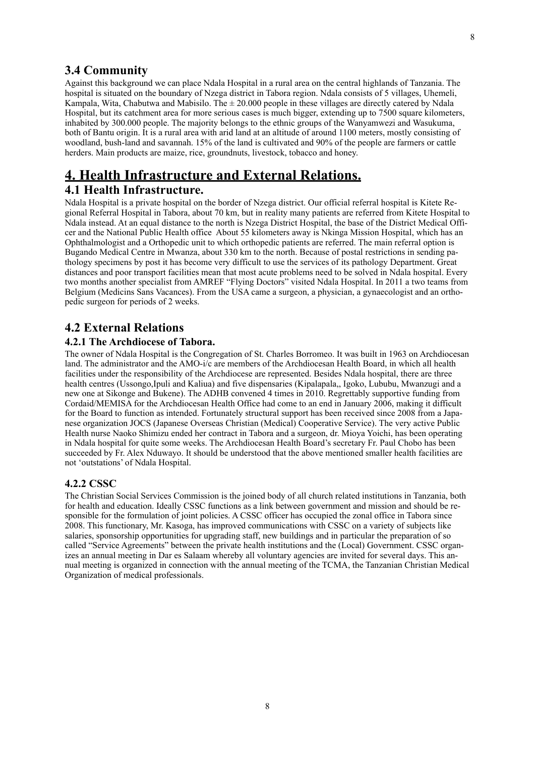<span id="page-6-0"></span>Against this background we can place Ndala Hospital in a rural area on the central highlands of Tanzania. The hospital is situated on the boundary of Nzega district in Tabora region. Ndala consists of 5 villages, Uhemeli, Kampala, Wita, Chabutwa and Mabisilo. The  $\pm 20.000$  people in these villages are directly catered by Ndala Hospital, but its catchment area for more serious cases is much bigger, extending up to 7500 square kilometers, inhabited by 300.000 people. The majority belongs to the ethnic groups of the Wanyamwezi and Wasukuma, both of Bantu origin. It is a rural area with arid land at an altitude of around 1100 meters, mostly consisting of woodland, bush-land and savannah. 15% of the land is cultivated and 90% of the people are farmers or cattle herders. Main products are maize, rice, groundnuts, livestock, tobacco and honey.

## <span id="page-6-2"></span><span id="page-6-1"></span>**4. Health Infrastructure and External Relations. 4.1 Health Infrastructure.**

Ndala Hospital is a private hospital on the border of Nzega district. Our official referral hospital is Kitete Regional Referral Hospital in Tabora, about 70 km, but in reality many patients are referred from Kitete Hospital to Ndala instead. At an equal distance to the north is Nzega District Hospital, the base of the District Medical Officer and the National Public Health office About 55 kilometers away is Nkinga Mission Hospital, which has an Ophthalmologist and a Orthopedic unit to which orthopedic patients are referred. The main referral option is Bugando Medical Centre in Mwanza, about 330 km to the north. Because of postal restrictions in sending pathology specimens by post it has become very difficult to use the services of its pathology Department. Great distances and poor transport facilities mean that most acute problems need to be solved in Ndala hospital. Every two months another specialist from AMREF "Flying Doctors" visited Ndala Hospital. In 2011 a two teams from Belgium (Medicins Sans Vacances). From the USA came a surgeon, a physician, a gynaecologist and an orthopedic surgeon for periods of 2 weeks.

## <span id="page-6-3"></span>**4.2 External Relations**

## <span id="page-6-4"></span>**4.2.1 The Archdiocese of Tabora.**

The owner of Ndala Hospital is the Congregation of St. Charles Borromeo. It was built in 1963 on Archdiocesan land. The administrator and the AMO-i/c are members of the Archdiocesan Health Board, in which all health facilities under the responsibility of the Archdiocese are represented. Besides Ndala hospital, there are three health centres (Ussongo,Ipuli and Kaliua) and five dispensaries (Kipalapala,, Igoko, Lububu, Mwanzugi and a new one at Sikonge and Bukene). The ADHB convened 4 times in 2010. Regrettably supportive funding from Cordaid/MEMISA for the Archdiocesan Health Office had come to an end in January 2006, making it difficult for the Board to function as intended. Fortunately structural support has been received since 2008 from a Japanese organization JOCS (Japanese Overseas Christian (Medical) Cooperative Service). The very active Public Health nurse Naoko Shimizu ended her contract in Tabora and a surgeon, dr. Mioya Yoichi, has been operating in Ndala hospital for quite some weeks. The Archdiocesan Health Board's secretary Fr. Paul Chobo has been succeeded by Fr. Alex Nduwayo. It should be understood that the above mentioned smaller health facilities are not 'outstations' of Ndala Hospital.

#### <span id="page-6-5"></span>**4.2.2 CSSC**

The Christian Social Services Commission is the joined body of all church related institutions in Tanzania, both for health and education. Ideally CSSC functions as a link between government and mission and should be responsible for the formulation of joint policies. A CSSC officer has occupied the zonal office in Tabora since 2008. This functionary, Mr. Kasoga, has improved communications with CSSC on a variety of subjects like salaries, sponsorship opportunities for upgrading staff, new buildings and in particular the preparation of so called "Service Agreements" between the private health institutions and the (Local) Government. CSSC organizes an annual meeting in Dar es Salaam whereby all voluntary agencies are invited for several days. This annual meeting is organized in connection with the annual meeting of the TCMA, the Tanzanian Christian Medical Organization of medical professionals.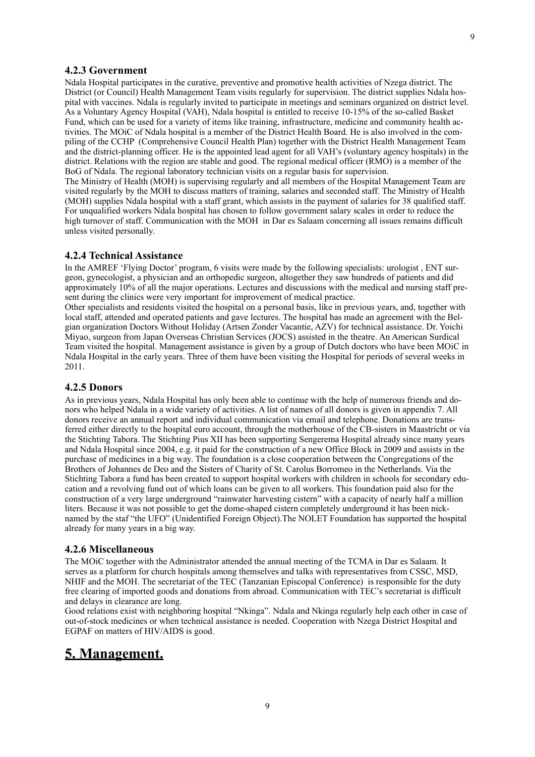## <span id="page-7-0"></span>**4.2.3 Government**

Ndala Hospital participates in the curative, preventive and promotive health activities of Nzega district. The District (or Council) Health Management Team visits regularly for supervision. The district supplies Ndala hospital with vaccines. Ndala is regularly invited to participate in meetings and seminars organized on district level. As a Voluntary Agency Hospital (VAH), Ndala hospital is entitled to receive 10-15% of the so-called Basket Fund, which can be used for a variety of items like training, infrastructure, medicine and community health activities. The MOiC of Ndala hospital is a member of the District Health Board. He is also involved in the compiling of the CCHP (Comprehensive Council Health Plan) together with the District Health Management Team and the district-planning officer. He is the appointed lead agent for all VAH's (voluntary agency hospitals) in the district. Relations with the region are stable and good. The regional medical officer (RMO) is a member of the BoG of Ndala. The regional laboratory technician visits on a regular basis for supervision. The Ministry of Health (MOH) is supervising regularly and all members of the Hospital Management Team are visited regularly by the MOH to discuss matters of training, salaries and seconded staff. The Ministry of Health (MOH) supplies Ndala hospital with a staff grant, which assists in the payment of salaries for 38 qualified staff. For unqualified workers Ndala hospital has chosen to follow government salary scales in order to reduce the

high turnover of staff. Communication with the MOH in Dar es Salaam concerning all issues remains difficult unless visited personally.

#### <span id="page-7-1"></span>**4.2.4 Technical Assistance**

In the AMREF 'Flying Doctor' program, 6 visits were made by the following specialists: urologist , ENT surgeon, gynecologist, a physician and an orthopedic surgeon, altogether they saw hundreds of patients and did approximately 10% of all the major operations. Lectures and discussions with the medical and nursing staff present during the clinics were very important for improvement of medical practice.

Other specialists and residents visited the hospital on a personal basis, like in previous years, and, together with local staff, attended and operated patients and gave lectures. The hospital has made an agreement with the Belgian organization Doctors Without Holiday (Artsen Zonder Vacantie, AZV) for technical assistance. Dr. Yoichi Miyao, surgeon from Japan Overseas Christian Services (JOCS) assisted in the theatre. An American Surdical Team visited the hospital. Management assistance is given by a group of Dutch doctors who have been MOiC in Ndala Hospital in the early years. Three of them have been visiting the Hospital for periods of several weeks in 2011.

## <span id="page-7-2"></span>**4.2.5 Donors**

As in previous years, Ndala Hospital has only been able to continue with the help of numerous friends and donors who helped Ndala in a wide variety of activities. A list of names of all donors is given in appendix 7. All donors receive an annual report and individual communication via email and telephone. Donations are transferred either directly to the hospital euro account, through the motherhouse of the CB-sisters in Maastricht or via the Stichting Tabora. The Stichting Pius XII has been supporting Sengerema Hospital already since many years and Ndala Hospital since 2004, e.g. it paid for the construction of a new Office Block in 2009 and assists in the purchase of medicines in a big way. The foundation is a close cooperation between the Congregations of the Brothers of Johannes de Deo and the Sisters of Charity of St. Carolus Borromeo in the Netherlands. Via the Stichting Tabora a fund has been created to support hospital workers with children in schools for secondary education and a revolving fund out of which loans can be given to all workers. This foundation paid also for the construction of a very large underground "rainwater harvesting cistern" with a capacity of nearly half a million liters. Because it was not possible to get the dome-shaped cistern completely underground it has been nicknamed by the staf "the UFO" (Unidentified Foreign Object).The NOLET Foundation has supported the hospital already for many years in a big way.

#### <span id="page-7-3"></span>**4.2.6 Miscellaneous**

The MOiC together with the Administrator attended the annual meeting of the TCMA in Dar es Salaam. It serves as a platform for church hospitals among themselves and talks with representatives from CSSC, MSD, NHIF and the MOH. The secretariat of the TEC (Tanzanian Episcopal Conference) is responsible for the duty free clearing of imported goods and donations from abroad. Communication with TEC's secretariat is difficult and delays in clearance are long.

Good relations exist with neighboring hospital "Nkinga". Ndala and Nkinga regularly help each other in case of out-of-stock medicines or when technical assistance is needed. Cooperation with Nzega District Hospital and EGPAF on matters of HIV/AIDS is good.

## <span id="page-7-4"></span>**5. Management.**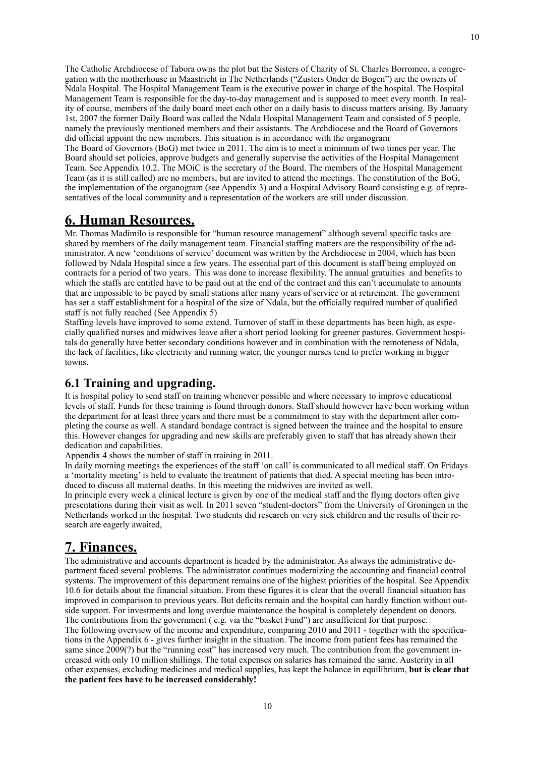The Catholic Archdiocese of Tabora owns the plot but the Sisters of Charity of St. Charles Borromeo, a congregation with the motherhouse in Maastricht in The Netherlands ("Zusters Onder de Bogen") are the owners of Ndala Hospital. The Hospital Management Team is the executive power in charge of the hospital. The Hospital Management Team is responsible for the day-to-day management and is supposed to meet every month. In reality of course, members of the daily board meet each other on a daily basis to discuss matters arising. By January 1st, 2007 the former Daily Board was called the Ndala Hospital Management Team and consisted of 5 people, namely the previously mentioned members and their assistants. The Archdiocese and the Board of Governors did official appoint the new members. This situation is in accordance with the organogram

10

The Board of Governors (BoG) met twice in 2011. The aim is to meet a minimum of two times per year. The Board should set policies, approve budgets and generally supervise the activities of the Hospital Management Team. See Appendix 10.2. The MOiC is the secretary of the Board. The members of the Hospital Management Team (as it is still called) are no members, but are invited to attend the meetings. The constitution of the BoG, the implementation of the organogram (see Appendix 3) and a Hospital Advisory Board consisting e.g. of representatives of the local community and a representation of the workers are still under discussion.

# <span id="page-8-0"></span>**6. Human Resources.**

Mr. Thomas Madimilo is responsible for "human resource management" although several specific tasks are shared by members of the daily management team. Financial staffing matters are the responsibility of the administrator. A new 'conditions of service' document was written by the Archdiocese in 2004, which has been followed by Ndala Hospital since a few years. The essential part of this document is staff being employed on contracts for a period of two years. This was done to increase flexibility. The annual gratuities and benefits to which the staffs are entitled have to be paid out at the end of the contract and this can't accumulate to amounts that are impossible to be payed by small stations after many years of service or at retirement. The government has set a staff establishment for a hospital of the size of Ndala, but the officially required number of qualified staff is not fully reached (See Appendix 5)

Staffing levels have improved to some extend. Turnover of staff in these departments has been high, as especially qualified nurses and midwives leave after a short period looking for greener pastures. Government hospitals do generally have better secondary conditions however and in combination with the remoteness of Ndala, the lack of facilities, like electricity and running water, the younger nurses tend to prefer working in bigger towns.

## <span id="page-8-1"></span>**6.1 Training and upgrading.**

It is hospital policy to send staff on training whenever possible and where necessary to improve educational levels of staff. Funds for these training is found through donors. Staff should however have been working within the department for at least three years and there must be a commitment to stay with the department after completing the course as well. A standard bondage contract is signed between the trainee and the hospital to ensure this. However changes for upgrading and new skills are preferably given to staff that has already shown their dedication and capabilities.

Appendix 4 shows the number of staff in training in 2011.

In daily morning meetings the experiences of the staff 'on call' is communicated to all medical staff. On Fridays a 'mortality meeting' is held to evaluate the treatment of patients that died. A special meeting has been introduced to discuss all maternal deaths. In this meeting the midwives are invited as well.

In principle every week a clinical lecture is given by one of the medical staff and the flying doctors often give presentations during their visit as well. In 2011 seven "student-doctors" from the University of Groningen in the Netherlands worked in the hospital. Two students did research on very sick children and the results of their research are eagerly awaited,

## <span id="page-8-2"></span>**7. Finances.**

The administrative and accounts department is headed by the administrator. As always the administrative department faced several problems. The administrator continues modernizing the accounting and financial control systems. The improvement of this department remains one of the highest priorities of the hospital. See Appendix 10.6 for details about the financial situation. From these figures it is clear that the overall financial situation has improved in comparison to previous years. But deficits remain and the hospital can hardly function without outside support. For investments and long overdue maintenance the hospital is completely dependent on donors. The contributions from the government ( e.g. via the "basket Fund") are insufficient for that purpose. The following overview of the income and expenditure, comparing 2010 and 2011 - together with the specifications in the Appendix 6 - gives further insight in the situation. The income from patient fees has remained the same since 2009(?) but the "running cost" has increased very much. The contribution from the government increased with only 10 million shillings. The total expenses on salaries has remained the same. Austerity in all other expenses, excluding medicines and medical supplies, has kept the balance in equilibrium, **but is clear that the patient fees have to be increased considerably!**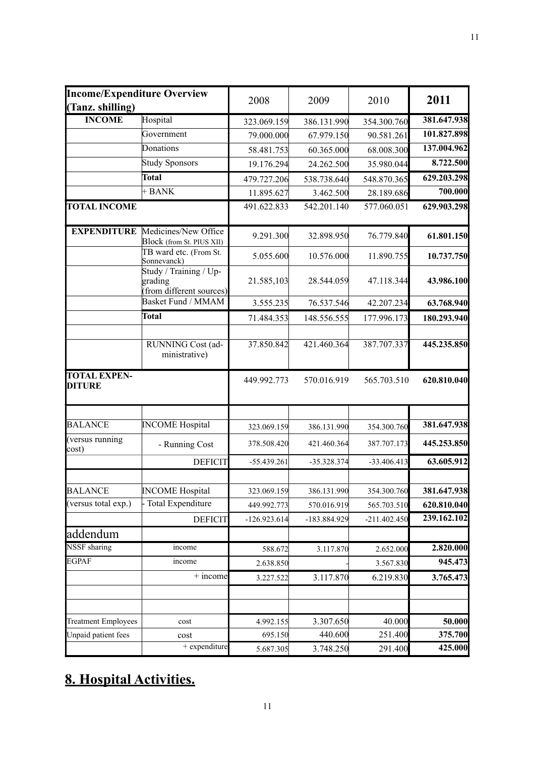| <b>Income/Expenditure Overview</b><br>(Tanz. shilling) |                                                              | 2008           | 2009         | 2010           | 2011        |
|--------------------------------------------------------|--------------------------------------------------------------|----------------|--------------|----------------|-------------|
| <b>INCOME</b>                                          | Hospital                                                     | 323.069.159    | 386.131.990  | 354.300.760    | 381.647.938 |
|                                                        | Government                                                   | 79.000.000     | 67.979.150   | 90.581.261     | 101.827.898 |
|                                                        | Donations                                                    | 58.481.753     | 60.365.000   | 68.008.300     | 137.004.962 |
|                                                        | <b>Study Sponsors</b>                                        | 19.176.294     | 24.262.500   | 35.980.044     | 8.722.500   |
|                                                        | <b>Total</b>                                                 | 479.727.206    | 538.738.640  | 548.870.365    | 629.203.298 |
|                                                        | $+$ BANK                                                     | 11.895.627     | 3.462.500    | 28.189.686     | 700.000     |
| <b>TOTAL INCOME</b>                                    |                                                              | 491.622.833    | 542.201.140  | 577.060.051    | 629.903.298 |
| <b>EXPENDITURE</b>                                     | Medicines/New Office<br>Block (from St. PIUS XII)            | 9.291.300      | 32.898.950   | 76.779.840     | 61.801.150  |
|                                                        | TB ward etc. (From St.<br>Sonnevanck)                        | 5.055.600      | 10.576.000   | 11.890.755     | 10.737.750  |
|                                                        | Study / Training / Up-<br>grading<br>from different sources) | 21.585,103     | 28.544.059   | 47.118.344     | 43.986.100  |
|                                                        | <b>Basket Fund / MMAM</b>                                    | 3.555.235      | 76.537.546   | 42.207.234     | 63.768.940  |
|                                                        | Total                                                        | 71.484.353     | 148.556.555  | 177.996.173    | 180.293.940 |
|                                                        | RUNNING Cost (ad-<br>ministrative)                           | 37.850.842     | 421.460.364  | 387.707.337    | 445.235.850 |
| <b>TOTAL EXPEN-</b><br><b>DITURE</b>                   |                                                              | 449.992.773    | 570.016.919  | 565.703.510    | 620.810.040 |
| <b>BALANCE</b>                                         | <b>INCOME</b> Hospital                                       | 323.069.159    | 386.131.990  | 354.300.760    | 381.647.938 |
| (versus running<br>cost)                               | - Running Cost                                               | 378.508.420    | 421.460.364  | 387.707.173    | 445.253.850 |
|                                                        | <b>DEFICIT</b>                                               | -55.439.261    | -35.328.374  | $-33.406.413$  | 63.605.912  |
|                                                        |                                                              |                |              |                |             |
| <b>BALANCE</b>                                         | <b>INCOME</b> Hospital                                       | 323.069.159    | 386.131.990  | 354.300.760    | 381.647.938 |
| (versus total exp.)                                    | - Total Expenditure                                          | 449.992.773    | 570.016.919  | 565.703.510    | 620.810.040 |
|                                                        | <b>DEFICIT</b>                                               | $-126.923.614$ | -183.884.929 | $-211.402.450$ | 239.162.102 |
| addendum                                               |                                                              |                |              |                |             |
| <b>NSSF</b> sharing                                    | income                                                       | 588.672        | 3.117.870    | 2.652.000      | 2.820.000   |
| <b>EGPAF</b>                                           | income                                                       | 2.638.850      |              | 3.567.830      | 945.473     |
|                                                        | $+$ income                                                   | 3.227.522      | 3.117.870    | 6.219.830      | 3.765.473   |
|                                                        |                                                              |                |              |                |             |
| <b>Treatment Employees</b>                             | cost                                                         | 4.992.155      | 3.307.650    | 40.000         | 50.000      |
| Unpaid patient fees                                    | cost                                                         | 695.150        | 440.600      | 251.400        | 375.700     |
|                                                        | $+$ expenditure                                              | 5.687.305      | 3.748.250    | 291.400        | 425.000     |

# <span id="page-9-0"></span>**8. Hospital Activities.**

11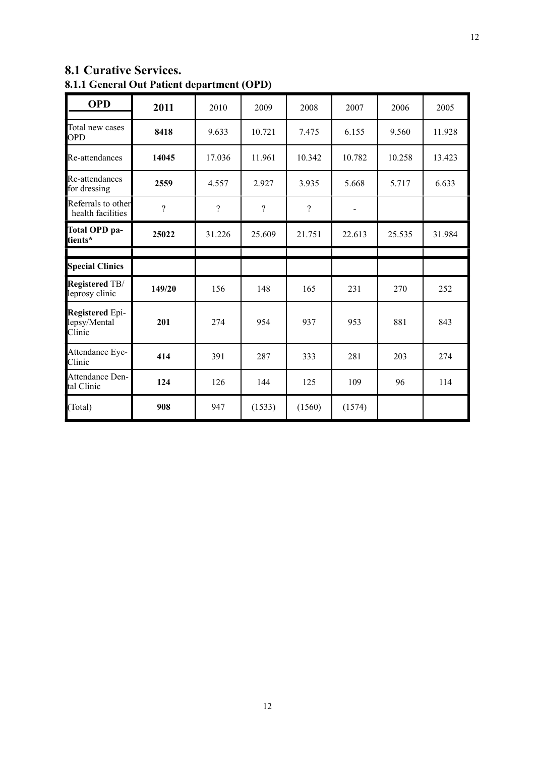## <span id="page-10-0"></span>**8.1 Curative Services. 8.1.1 General Out Patient department (OPD)**

<span id="page-10-1"></span>

| <b>OPD</b>                                | 2011     | 2010     | 2009     | 2008     | 2007   | 2006   | 2005   |
|-------------------------------------------|----------|----------|----------|----------|--------|--------|--------|
| Total new cases<br><b>OPD</b>             | 8418     | 9.633    | 10.721   | 7.475    | 6.155  | 9.560  | 11.928 |
| Re-attendances                            | 14045    | 17.036   | 11.961   | 10.342   | 10.782 | 10.258 | 13.423 |
| Re-attendances<br>for dressing            | 2559     | 4.557    | 2.927    | 3.935    | 5.668  | 5.717  | 6.633  |
| Referrals to other<br>health facilities   | $\gamma$ | $\gamma$ | $\gamma$ | $\gamma$ |        |        |        |
| Total OPD pa-<br>tients*                  | 25022    | 31.226   | 25.609   | 21.751   | 22.613 | 25.535 | 31.984 |
|                                           |          |          |          |          |        |        |        |
| <b>Special Clinics</b>                    |          |          |          |          |        |        |        |
| <b>Registered TB/</b><br>leprosy clinic   | 149/20   | 156      | 148      | 165      | 231    | 270    | 252    |
| Registered Epi-<br>lepsy/Mental<br>Clinic | 201      | 274      | 954      | 937      | 953    | 881    | 843    |
| Attendance Eye-<br>Clinic                 | 414      | 391      | 287      | 333      | 281    | 203    | 274    |
| Attendance Den-<br>tal Clinic             | 124      | 126      | 144      | 125      | 109    | 96     | 114    |
| (Total)                                   | 908      | 947      | (1533)   | (1560)   | (1574) |        |        |

12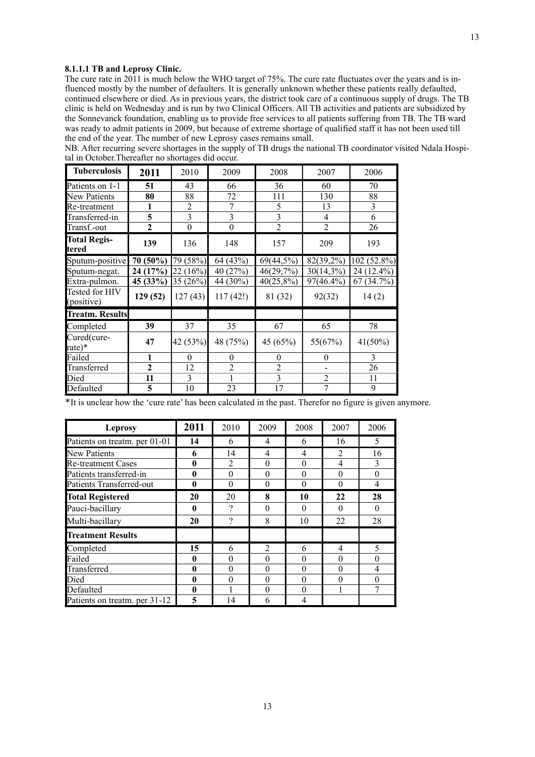#### **8.1.1.1 TB and Leprosy Clinic.**

The cure rate in 2011 is much below the WHO target of 75%. The cure rate fluctuates over the years and is influenced mostly by the number of defaulters. It is generally unknown whether these patients really defaulted, continued elsewhere or died. As in previous years, the district took care of a continuous supply of drugs. The TB clinic is held on Wednesday and is run by two Clinical Officers. All TB activities and patients are subsidized by the Sonnevanck foundation, enabling us to provide free services to all patients suffering from TB. The TB ward was ready to admit patients in 2009, but because of extreme shortage of qualified staff it has not been used till the end of the year. The number of new Leprosy cases remains small.

NB. After recurring severe shortages in the supply of TB drugs the national TB coordinator visited Ndala Hospital in October.Thereafter no shortages did occur.

| <b>Tuberculosis</b>           | 2011           | 2010             | 2009           | 2008           | 2007           | 2006          |
|-------------------------------|----------------|------------------|----------------|----------------|----------------|---------------|
| Patients on 1-1               | 51             | 43               | 66             | 36             | 60             | 70            |
| New Patients                  | 80             | 88               | 72             | 111            | 130            | 88            |
| Re-treatment                  | 1              | $\overline{2}$   | 7              | 5              | 13             | 3             |
| Transferred-in                | 5              | $\overline{3}$   | 3              | $\overline{3}$ | $\overline{4}$ | 6             |
| Transf.-out                   | $\overline{c}$ | $\boldsymbol{0}$ | $\theta$       | $\overline{2}$ | $\overline{2}$ | 26            |
| <b>Total Regis-</b><br>ltered | 139            | 136              | 148            | 157            | 209            | 193           |
| Sputum-positive               | 70 (50%)       | 79 (58%)         | 64 (43%)       | 69(44,5%)      | 82(39,2%)      | $102(52.8\%)$ |
| Sputum-negat.                 | 24 (17%)       | 22(16%)          | 40 (27%)       | 46(29,7%)      | $30(14,3\%)$   | 24 (12.4%)    |
| Extra-pulmon.                 | 45 (33%)       | 35 $(26%)$       | 44 (30%)       | 40(25,8%)      | 97(46.4%)      | 67 (34.7%)    |
| Tested for HIV<br>(positive)  | 129(52)        | 127(43)          | 117(42!)       | 81 (32)        | 92(32)         | 14(2)         |
| <b>Treatm. Results</b>        |                |                  |                |                |                |               |
| Completed                     | 39             | 37               | 35             | 67             | 65             | 78            |
| Cured(cure-<br>rate)*         | 47             | 42 (53%)         | 48 (75%)       | 45 (65%)       | 55(67%)        | $41(50\%)$    |
| Failed                        | 1              | $\Omega$         | $\Omega$       | $\theta$       | $\Omega$       | 3             |
| Transferred                   | $\overline{2}$ | 12               | $\overline{2}$ | $\overline{2}$ |                | 26            |
| Died                          | 11             | 3                |                | $\overline{3}$ | $\overline{2}$ | 11            |
| Defaulted                     | 5              | 10               | 23             | 17             | 7              | 9             |

\*It is unclear how the 'cure rate' has been calculated in the past. Therefor no figure is given anymore.

| <b>Leprosy</b>                | 2011     | 2010          | 2009           | 2008     | 2007           | 2006     |
|-------------------------------|----------|---------------|----------------|----------|----------------|----------|
| Patients on treatm. per 01-01 | 14       | 6             | 4              | 6        | 16             | 5        |
| New Patients                  | 6        | 14            | 4              | 4        | 2              | 16       |
| <b>Re-treatment Cases</b>     | 0        | 2             | $\theta$       | $\theta$ | $\overline{4}$ | 3        |
| Patients transferred-in       | $\bf{0}$ | $\theta$      | $\theta$       | $\theta$ | $\theta$       | $\theta$ |
| Patients Transferred-out      | 0        | $\theta$      | $\theta$       | $\theta$ | $\theta$       | 4        |
| <b>Total Registered</b>       | 20       | 20            | 8              | 10       | 22             | 28       |
| Pauci-bacillary               | 0        | $\mathcal{P}$ | $\theta$       | $\Omega$ | $\Omega$       | $\theta$ |
| Multi-bacillary               | 20       | $\mathcal{P}$ | 8              | 10       | 22             | 28       |
| <b>Treatment Results</b>      |          |               |                |          |                |          |
| Completed                     | 15       | 6             | $\mathfrak{D}$ | 6        | 4              | 5        |
| Failed                        | 0        | $\theta$      | $\theta$       | $\theta$ | $\theta$       | $\theta$ |
| Transferred                   | 0        | $\theta$      | $\theta$       | $\theta$ | $\theta$       | 4        |
| Died                          | 0        | $\theta$      | $\theta$       | $\theta$ | $\theta$       | $\theta$ |
| Defaulted                     | 0        |               | $\theta$       | $\theta$ |                | 7        |
| Patients on treatm. per 31-12 | 5        | 14            | 6              | 4        |                |          |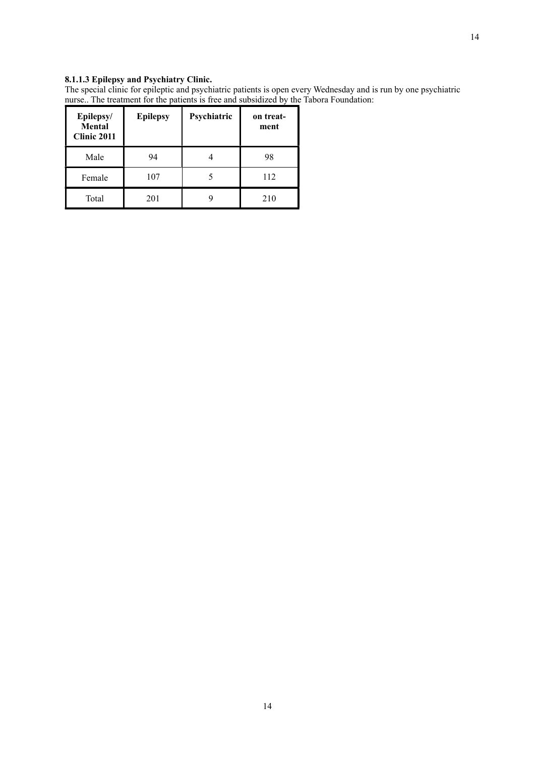#### **8.1.1.3 Epilepsy and Psychiatry Clinic.**

The special clinic for epileptic and psychiatric patients is open every Wednesday and is run by one psychiatric nurse.. The treatment for the patients is free and subsidized by the Tabora Foundation:

| Epilepsy/<br>Mental<br>Clinic 2011 | <b>Epilepsy</b> | Psychiatric | on treat-<br>ment |
|------------------------------------|-----------------|-------------|-------------------|
| Male                               | 94              |             | 98                |
| Female                             | 107             |             | 112               |
| Total                              | 201             |             | 210               |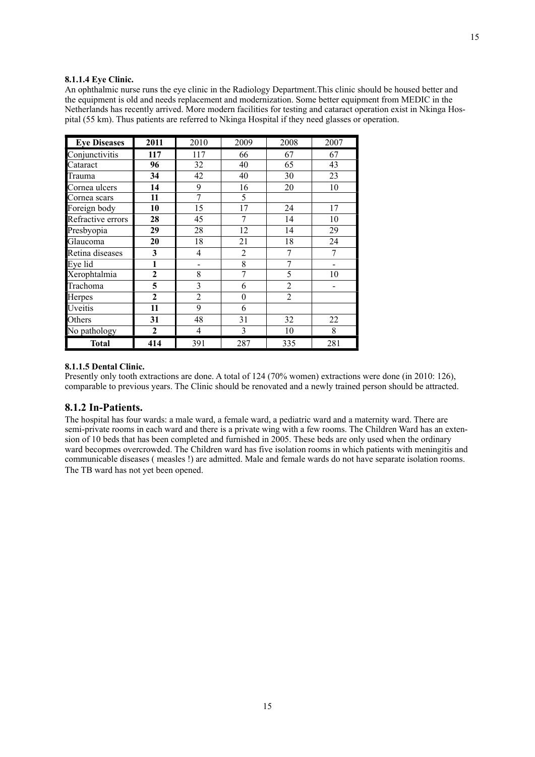#### **8.1.1.4 Eye Clinic.**

An ophthalmic nurse runs the eye clinic in the Radiology Department.This clinic should be housed better and the equipment is old and needs replacement and modernization. Some better equipment from MEDIC in the Netherlands has recently arrived. More modern facilities for testing and cataract operation exist in Nkinga Hospital (55 km). Thus patients are referred to Nkinga Hospital if they need glasses or operation.

| <b>Eye Diseases</b> | 2011           | 2010            | 2009         | 2008           | 2007  |
|---------------------|----------------|-----------------|--------------|----------------|-------|
| Conjunctivitis      | 117            | 117             | 66           | 67             | 67    |
| Cataract            | 96             | 32              | 40           | 65             | 43    |
| Trauma              | 34             | $\overline{42}$ | 40           | 30             | 23    |
| Cornea ulcers       | 14             | 9               | 16           | 20             | 10    |
| Cornea scars        | 11             | $\overline{7}$  | 5            |                |       |
| Foreign body        | 10             | 15              | 17           | 24             | 17    |
| Refractive errors   | 28             | 45              | 7            | 14             | 10    |
| Presbyopia          | 29             | 28              | 12           | 14             | 29    |
| Glaucoma            | 20             | 18              | 21           | 18             | 24    |
| Retina diseases     | 3              | $\overline{4}$  | 2            | 7              | 7     |
| Eye lid             | 1              | $\blacksquare$  | 8            | 7              |       |
| Xerophtalmia        | $\overline{2}$ | 8               | 7            | 5              | 10    |
| Trachoma            | 5              | 3               | 6            | $\overline{2}$ |       |
| Herpes              | $\overline{2}$ | $\overline{2}$  | $\mathbf{0}$ | $\overline{2}$ |       |
| Uveitis             | 11             | 9               | 6            |                |       |
| Others              | 31             | 48              | 31           | 32             | 22    |
| No pathology        | $\mathbf{2}$   | 4               | 3            | 10             | $8\,$ |
| <b>Total</b>        | 414            | 391             | 287          | 335            | 281   |

#### **8.1.1.5 Dental Clinic.**

Presently only tooth extractions are done. A total of 124 (70% women) extractions were done (in 2010: 126), comparable to previous years. The Clinic should be renovated and a newly trained person should be attracted.

#### <span id="page-13-0"></span>**8.1.2 In-Patients.**

The hospital has four wards: a male ward, a female ward, a pediatric ward and a maternity ward. There are semi-private rooms in each ward and there is a private wing with a few rooms. The Children Ward has an extension of 10 beds that has been completed and furnished in 2005. These beds are only used when the ordinary ward becopmes overcrowded. The Children ward has five isolation rooms in which patients with meningitis and communicable diseases ( measles !) are admitted. Male and female wards do not have separate isolation rooms. The TB ward has not yet been opened.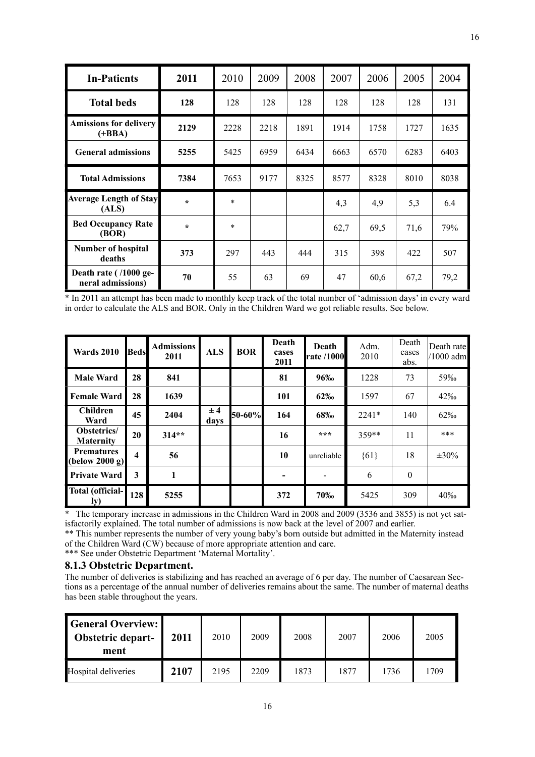| <b>In-Patients</b>                         | 2011    | 2010   | 2009 | 2008 | 2007 | 2006 | 2005 | 2004 |
|--------------------------------------------|---------|--------|------|------|------|------|------|------|
| <b>Total beds</b>                          | 128     | 128    | 128  | 128  | 128  | 128  | 128  | 131  |
| <b>Amissions for delivery</b><br>$(+BBA)$  | 2129    | 2228   | 2218 | 1891 | 1914 | 1758 | 1727 | 1635 |
| <b>General admissions</b>                  | 5255    | 5425   | 6959 | 6434 | 6663 | 6570 | 6283 | 6403 |
| <b>Total Admissions</b>                    | 7384    | 7653   | 9177 | 8325 | 8577 | 8328 | 8010 | 8038 |
| <b>Average Length of Stay</b><br>(ALS)     | $\star$ | $\ast$ |      |      | 4,3  | 4,9  | 5,3  | 6.4  |
| <b>Bed Occupancy Rate</b><br>(BOR)         | $\star$ | $\ast$ |      |      | 62,7 | 69,5 | 71,6 | 79%  |
| <b>Number of hospital</b><br>deaths        | 373     | 297    | 443  | 444  | 315  | 398  | 422  | 507  |
| Death rate (/1000 ge-<br>neral admissions) | 70      | 55     | 63   | 69   | 47   | 60,6 | 67,2 | 79,2 |

\* In 2011 an attempt has been made to monthly keep track of the total number of 'admission days' in every ward in order to calculate the ALS and BOR. Only in the Children Ward we got reliable results. See below.

| <b>Wards 2010</b>                                    | <b>Beds</b>             | <b>Admissions</b><br>2011 | <b>ALS</b>  | <b>BOR</b> | Death<br>cases<br>2011   | Death<br><b>rate /1000</b> | Adm.<br>2010 | Death<br>cases<br>abs. | Death rate<br>$/1000$ adm |
|------------------------------------------------------|-------------------------|---------------------------|-------------|------------|--------------------------|----------------------------|--------------|------------------------|---------------------------|
| <b>Male Ward</b>                                     | 28                      | 841                       |             |            | 81                       | 96‰                        | 1228         | 73                     | 59‰                       |
| <b>Female Ward</b>                                   | 28                      | 1639                      |             |            | 101                      | 62‰                        | 1597         | 67                     | 42‰                       |
| <b>Children</b><br>Ward                              | 45                      | 2404                      | ± 4<br>days | 50-60%     | 164                      | 68‰                        | $2241*$      | 140                    | 62‰                       |
| Obstetrics/<br><b>Maternity</b>                      | 20                      | $314**$                   |             |            | 16                       | ***                        | $359**$      | 11                     | $***$                     |
| <b>Prematures</b><br>$\left  \right $ (below 2000 g) | $\overline{\mathbf{4}}$ | 56                        |             |            | 10                       | unreliable                 | ${61}$       | 18                     | $\pm 30\%$                |
| <b>Private Ward</b>                                  | 3                       | 1                         |             |            | $\overline{\phantom{a}}$ |                            | 6            | $\mathbf{0}$           |                           |
| <b>Total (official-</b><br>ly)                       | 128                     | 5255                      |             |            | 372                      | 70‰                        | 5425         | 309                    | 40%                       |

\* The temporary increase in admissions in the Children Ward in 2008 and 2009 (3536 and 3855) is not yet satisfactorily explained. The total number of admissions is now back at the level of 2007 and earlier.

\*\* This number represents the number of very young baby's born outside but admitted in the Maternity instead of the Children Ward (CW) because of more appropriate attention and care.

\*\*\* See under Obstetric Department 'Maternal Mortality'.

## <span id="page-14-0"></span>**8.1.3 Obstetric Department.**

The number of deliveries is stabilizing and has reached an average of 6 per day. The number of Caesarean Sections as a percentage of the annual number of deliveries remains about the same. The number of maternal deaths has been stable throughout the years.

| <b>General Overview:</b><br>Obstetric depart-<br>ment | 2011 | 2010 | 2009 | 2008 | 2007 | 2006 | 2005 |
|-------------------------------------------------------|------|------|------|------|------|------|------|
| Hospital deliveries                                   | 2107 | 2195 | 2209 | 1873 | 1877 | 1736 | 1709 |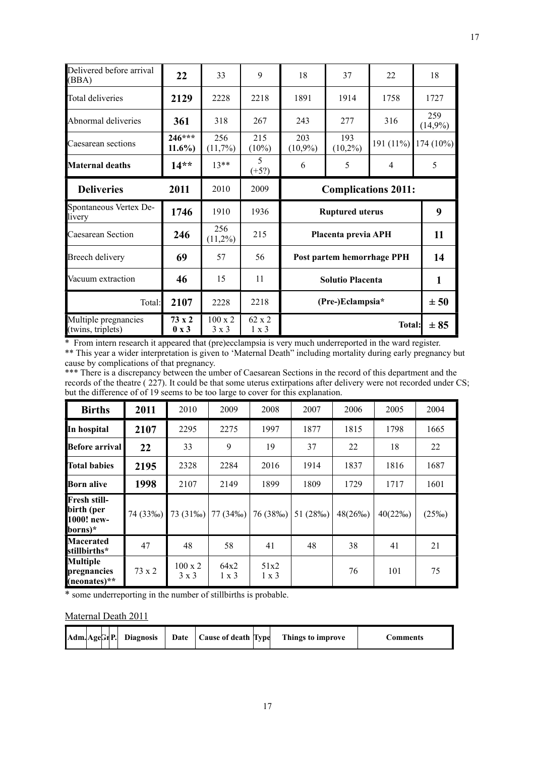| Delivered before arrival<br>(BBA) | 22                | 33                | 9               | 18                         | 37                         | 22   | 18                |
|-----------------------------------|-------------------|-------------------|-----------------|----------------------------|----------------------------|------|-------------------|
| <b>Total deliveries</b>           | 2129              | 2228              | 2218            | 1891                       | 1914                       | 1758 | 1727              |
| Abnormal deliveries               | 361               | 318               | 267             | 243                        | 277                        | 316  | 259<br>$(14,9\%)$ |
| Caesarean sections                | $246***$<br>11.6% | 256<br>(11,7%)    | 215<br>$(10\%)$ | 203<br>$(10,9\%)$          | $174(10\%)$                |      |                   |
| <b>Maternal deaths</b>            | $14**$            | $13**$            | 5<br>$(+5?)$    | 6                          | 5                          |      |                   |
| <b>Deliveries</b>                 | 2011              | 2010              | 2009            | <b>Complications 2011:</b> |                            |      |                   |
|                                   |                   |                   |                 |                            |                            |      |                   |
| Spontaneous Vertex De-<br>livery  | 1746              | 1910              | 1936            |                            | <b>Ruptured uterus</b>     |      | 9                 |
| <b>Caesarean Section</b>          | 246               | 256<br>$(11,2\%)$ | 215             |                            | Placenta previa APH        |      | 11                |
| Breech delivery                   | 69                | 57                | 56              |                            | Post partem hemorrhage PPH |      | 14                |
| Vacuum extraction                 | 46                | 15                | 11              |                            | <b>Solutio Placenta</b>    |      | 1                 |
| Total:                            | 2107              | 2228              | 2218            |                            | (Pre-)Eclampsia*           |      | ± 50              |

\* From intern research it appeared that (pre)ecclampsia is very much underreported in the ward register. \*\* This year a wider interpretation is given to 'Maternal Death'' including mortality during early pregnancy but cause by complications of that pregnancy.

\*\*\* There is a discrepancy between the umber of Caesarean Sections in the record of this department and the records of the theatre ( 227). It could be that some uterus extirpations after delivery were not recorded under CS; but the difference of of 19 seems to be too large to cover for this explanation.

| <b>Births</b>                                              | 2011     | 2010      | 2009     | 2008     | 2007     | 2006       | 2005       | 2004     |
|------------------------------------------------------------|----------|-----------|----------|----------|----------|------------|------------|----------|
| In hospital                                                | 2107     | 2295      | 2275     | 1997     | 1877     | 1815       | 1798       | 1665     |
| <b>Before arrival</b>                                      | 22       | 33        | 9        | 19       | 37       | 22         | 18         | 22       |
| <b>Total babies</b>                                        | 2195     | 2328      | 2284     | 2016     | 1914     | 1837       | 1816       | 1687     |
| <b>Born alive</b>                                          | 1998     | 2107      | 2149     | 1899     | 1809     | 1729       | 1717       | 1601     |
|                                                            |          |           |          |          |          |            |            |          |
| <b>Fresh still-</b><br>birth (per<br>1000! new-<br>borns)* | 74 (33‰) | 73 (31\%) | 77 (34‰) | 76 (38‰) | 51 (28‰) | $48(26\%)$ | $40(22\%)$ | $(25\%)$ |
| <b>Macerated</b><br><b>stillbirths*</b>                    | 47       | 48        | 58       | 41       | 48       | 38         | 41         | 21       |

\* some underreporting in the number of stillbirths is probable.

## Maternal Death 2011

| Adm. AgeGr <sub>P.</sub> |  |  |  | <b>Diagnosis</b> | Date | Cause of death Type |  | Things to improve | tomments |
|--------------------------|--|--|--|------------------|------|---------------------|--|-------------------|----------|
|--------------------------|--|--|--|------------------|------|---------------------|--|-------------------|----------|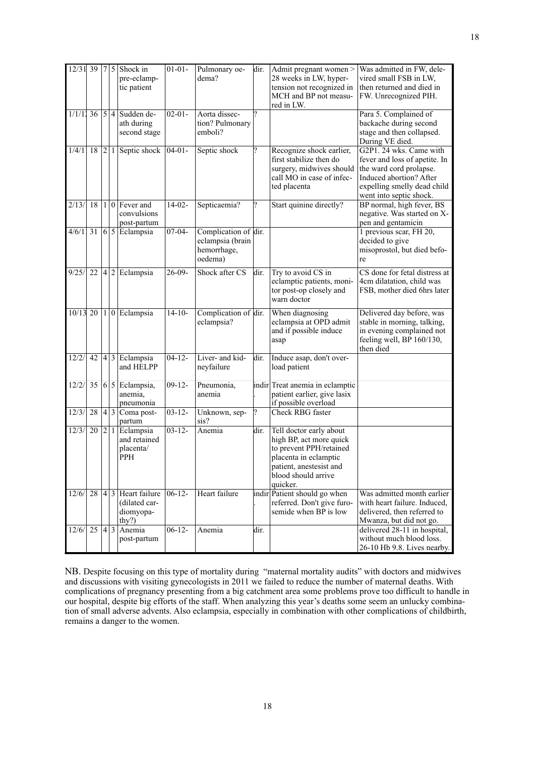| $12/31$ 39   7   5 |                     |  | Shock in<br>pre-eclamp-<br>tic patient                                    | $01 - 01 -$ | Pulmonary oe-<br>dema?                                             | dir. | Admit pregnant women ><br>28 weeks in LW, hyper-<br>tension not recognized in<br>MCH and BP not measu-<br>red in LW.                                                 | Was admitted in FW, dele-<br>vired small FSB in LW,<br>then returned and died in<br>FW. Unrecognized PIH.                                                                |
|--------------------|---------------------|--|---------------------------------------------------------------------------|-------------|--------------------------------------------------------------------|------|----------------------------------------------------------------------------------------------------------------------------------------------------------------------|--------------------------------------------------------------------------------------------------------------------------------------------------------------------------|
|                    |                     |  | $1/1/11$ 36   5   4   Sudden de-<br>ath during<br>second stage            | $02 - 01 -$ | Aorta dissec-<br>tion? Pulmonary<br>emboli?                        |      |                                                                                                                                                                      | Para 5. Complained of<br>backache during second<br>stage and then collapsed.<br>During VE died.                                                                          |
| 1/4/11             |                     |  | 18 $ 2 1 $ Septic shock                                                   | $04-01-$    | Septic shock                                                       |      | Recognize shock earlier,<br>first stabilize then do<br>surgery, midwives should<br>call MO in case of infec-<br>ted placenta                                         | G2P1. 24 wks. Came with<br>fever and loss of apetite. In<br>the ward cord prolapse.<br>Induced abortion? After<br>expelling smelly dead child<br>went into septic shock. |
| 2/13/              | 18 <sup>1</sup>     |  | $1 0 $ Fever and<br>convulsions<br>post-partum                            | $14-02-$    | Septicaemia?                                                       |      | Start quinine directly?                                                                                                                                              | BP normal, high fever, BS<br>negative. Was started on X-<br>pen and gentamicin                                                                                           |
| 4/6/1              |                     |  | $31   6   5  $ Eclampsia                                                  | $07-04-$    | Complication of dir.<br>eclampsia (brain<br>hemorrhage,<br>oedema) |      |                                                                                                                                                                      | 1 previous scar, FH 20,<br>decided to give<br>misoprostol, but died befo-<br>re                                                                                          |
| 9/25/              |                     |  | $22  4 2$ Eclampsia                                                       | $26-09-$    | Shock after CS                                                     | dir. | Try to avoid CS in<br>eclamptic patients, moni-<br>tor post-op closely and<br>warn doctor                                                                            | CS done for fetal distress at<br>4cm dilatation, child was<br>FSB, mother died 6hrs later                                                                                |
|                    |                     |  | $10/13$ 20   1   0   Eclampsia                                            | $14 - 10 -$ | Complication of dir.<br>eclampsia?                                 |      | When diagnosing<br>eclampsia at OPD admit<br>and if possible induce<br>asap                                                                                          | Delivered day before, was<br>stable in morning, talking,<br>in evening complained not<br>feeling well, BP 160/130,<br>then died                                          |
| 12/2/              |                     |  | 42   4   3   Eclampsia<br>and HELPP                                       | $04 - 12 -$ | Liver- and kid-<br>neyfailure                                      | dir. | Induce asap, don't over-<br>load patient                                                                                                                             |                                                                                                                                                                          |
| 12/2/              |                     |  | 35 $ 6 5 $ Eclampsia,<br>anemia,<br>pneumonia                             | $09-12-$    | Pneumonia,<br>anemia                                               |      | indir Treat anemia in eclamptic<br>patient earlier, give lasix<br>if possible overload                                                                               |                                                                                                                                                                          |
| 12/3/              |                     |  | 28 4 3 Coma post-<br>partum                                               | $03 - 12 -$ | Unknown, sep-<br>sis?                                              |      | <b>Check RBG</b> faster                                                                                                                                              |                                                                                                                                                                          |
| 12/3/              | 20 2 1              |  | Eclampsia<br>and retained<br>placenta/<br><b>PPH</b>                      | $03 - 12 -$ | Anemia                                                             | dir. | Tell doctor early about<br>high BP, act more quick<br>to prevent PPH/retained<br>placenta in eclamptic<br>patient, anestesist and<br>blood should arrive<br>quicker. |                                                                                                                                                                          |
| 12/6/              |                     |  | $28 \vert 4 \vert 3$ Heart failure<br>(dilated car-<br>diomyopa-<br>thy?) | $06-12-$    | Heart failure                                                      |      | indir Patient should go when<br>referred. Don't give furo-<br>semide when BP is low                                                                                  | Was admitted month earlier<br>with heart failure. Induced,<br>delivered, then referred to<br>Mwanza, but did not go.                                                     |
| 12/6/              | $\overline{25 4 3}$ |  | Anemia<br>post-partum                                                     | $06-12-$    | Anemia                                                             | dir. |                                                                                                                                                                      | delivered 28-11 in hospital,<br>without much blood loss.<br>26-10 Hb 9.8. Lives nearby.                                                                                  |

NB. Despite focusing on this type of mortality during "maternal mortality audits" with doctors and midwives and discussions with visiting gynecologists in 2011 we failed to reduce the number of maternal deaths. With complications of pregnancy presenting from a big catchment area some problems prove too difficult to handle in our hospital, despite big efforts of the staff. When analyzing this year's deaths some seem an unlucky combination of small adverse advents. Also eclampsia, especially in combination with other complications of childbirth, remains a danger to the women.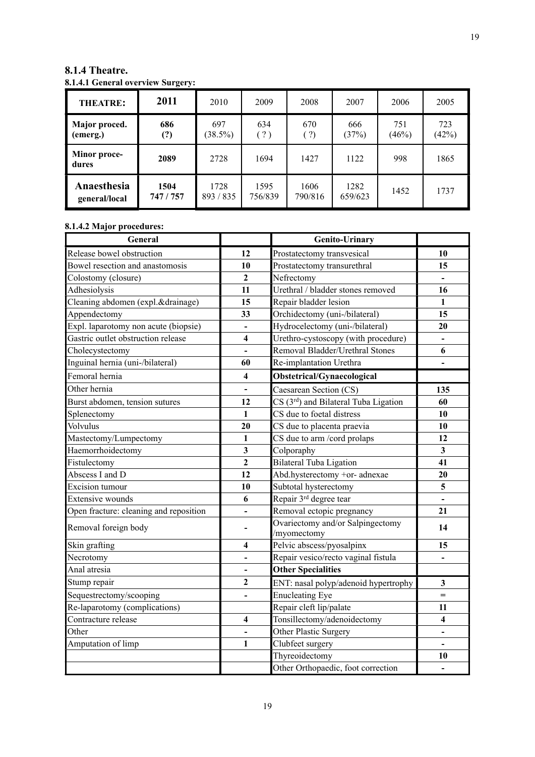| <b>THEATRE:</b>              | 2011              | 2010              | 2009            | 2008                 | 2007            | 2006         | 2005         |
|------------------------------|-------------------|-------------------|-----------------|----------------------|-----------------|--------------|--------------|
| Major proced.<br>(emerg.)    | 686<br>(?)        | 697<br>$(38.5\%)$ | 634<br>(?)      | 670<br>$\binom{?}{}$ | 666<br>(37%)    | 751<br>(46%) | 723<br>(42%) |
| <b>Minor proce-</b><br>dures | 2089              | 2728              | 1694            | 1427                 | 1122            | 998          | 1865         |
| Anaesthesia<br>general/local | 1504<br>747 / 757 | 1728<br>893 / 835 | 1595<br>756/839 | 1606<br>790/816      | 1282<br>659/623 | 1452         | 1737         |

## <span id="page-17-0"></span>**8.1.4 Theatre. 8.1.4.1 General overview Surgery:**

## **8.1.4.2 Major procedures:**

| General                                |                          | <b>Genito-Urinary</b>                             |                         |
|----------------------------------------|--------------------------|---------------------------------------------------|-------------------------|
| Release bowel obstruction              | 12                       | Prostatectomy transvesical                        | 10                      |
| Bowel resection and anastomosis        | 10                       | Prostatectomy transurethral                       | 15                      |
| Colostomy (closure)                    | $\mathbf{2}$             | Nefrectomy                                        |                         |
| Adhesiolysis                           | 11                       | Urethral / bladder stones removed                 | 16                      |
| Cleaning abdomen (expl.&drainage)      | 15                       | Repair bladder lesion                             | 1                       |
| Appendectomy                           | 33                       | Orchidectomy (uni-/bilateral)                     | 15                      |
| Expl. laparotomy non acute (biopsie)   | $\overline{\phantom{0}}$ | Hydrocelectomy (uni-/bilateral)                   | 20                      |
| Gastric outlet obstruction release     | $\overline{\mathbf{4}}$  | Urethro-cystoscopy (with procedure)               |                         |
| Cholecystectomy                        |                          | Removal Bladder/Urethral Stones                   | 6                       |
| Inguinal hernia (uni-/bilateral)       | 60                       | Re-implantation Urethra                           |                         |
| Femoral hernia                         | $\overline{\mathbf{4}}$  | Obstetrical/Gynaecological                        |                         |
| Other hernia                           | $\overline{a}$           | Caesarean Section (CS)                            | 135                     |
| Burst abdomen, tension sutures         | 12                       | CS (3 <sup>rd</sup> ) and Bilateral Tuba Ligation | 60                      |
| Splenectomy                            | $\mathbf{1}$             | CS due to foetal distress                         | 10                      |
| Volvulus                               | 20                       | CS due to placenta praevia                        | 10                      |
| Mastectomy/Lumpectomy                  | $\mathbf{1}$             | CS due to arm /cord prolaps                       | 12                      |
| Haemorrhoidectomy                      | $\overline{\mathbf{3}}$  | Colporaphy                                        | $\overline{\mathbf{3}}$ |
| Fistulectomy                           | $\overline{2}$           | <b>Bilateral Tuba Ligation</b>                    | 41                      |
| Abscess I and D                        | 12                       | Abd.hysterectomy +or- adnexae                     | 20                      |
| <b>Excision</b> tumour                 | 10                       | Subtotal hysterectomy                             | 5                       |
| <b>Extensive wounds</b>                | 6                        | Repair 3rd degree tear                            |                         |
| Open fracture: cleaning and reposition | $\overline{\phantom{0}}$ | Removal ectopic pregnancy                         | 21                      |
| Removal foreign body                   |                          | Ovariectomy and/or Salpingectomy<br>/myomectomy   | 14                      |
| Skin grafting                          | $\overline{\mathbf{4}}$  | Pelvic abscess/pyosalpinx                         | 15                      |
| Necrotomy                              | $\overline{a}$           | Repair vesico/recto vaginal fistula               |                         |
| Anal atresia                           | -                        | <b>Other Specialities</b>                         |                         |
| Stump repair                           | $\mathbf{2}$             | ENT: nasal polyp/adenoid hypertrophy              | $\mathbf{3}$            |
| Sequestrectomy/scooping                | $\overline{\phantom{0}}$ | <b>Enucleating Eye</b>                            |                         |
| Re-laparotomy (complications)          |                          | Repair cleft lip/palate                           | 11                      |
| Contracture release                    | $\overline{\mathbf{4}}$  | Tonsillectomy/adenoidectomy                       | $\overline{\mathbf{4}}$ |
| Other                                  |                          | Other Plastic Surgery                             |                         |
| Amputation of limp                     | $\mathbf{1}$             | Clubfeet surgery                                  |                         |
|                                        |                          | Thyreoidectomy                                    | 10                      |
|                                        |                          | Other Orthopaedic, foot correction                |                         |

19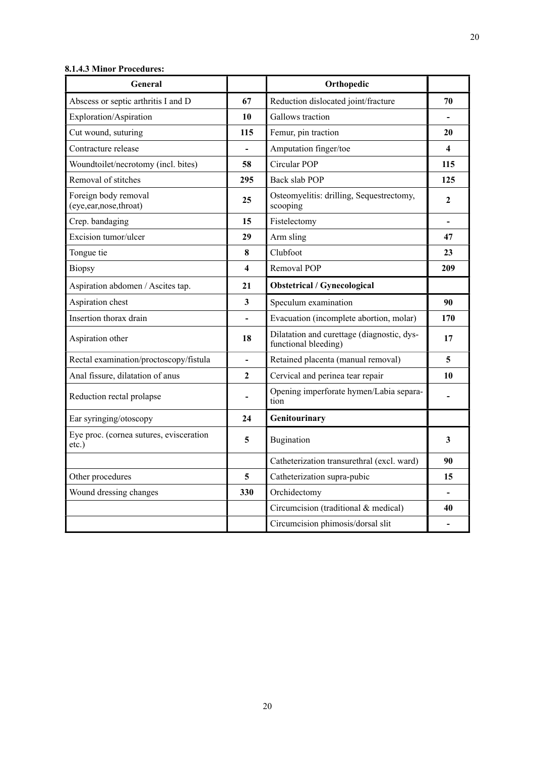| General                                             |                              | Orthopedic                                                         |                          |
|-----------------------------------------------------|------------------------------|--------------------------------------------------------------------|--------------------------|
| Abscess or septic arthritis I and D                 | 67                           | Reduction dislocated joint/fracture                                | 70                       |
| Exploration/Aspiration                              | 10                           | Gallows traction                                                   | $\overline{\phantom{a}}$ |
| Cut wound, suturing                                 | 115                          | Femur, pin traction                                                | 20                       |
| Contracture release                                 |                              | Amputation finger/toe                                              | $\overline{\mathbf{4}}$  |
| Woundtoilet/necrotomy (incl. bites)                 | 58                           | Circular POP                                                       | 115                      |
| Removal of stitches                                 | 295                          | Back slab POP                                                      | 125                      |
| Foreign body removal<br>(eye,ear,nose,throat)       | 25                           | Osteomyelitis: drilling, Sequestrectomy,<br>scooping               | $\mathbf{2}$             |
| Crep. bandaging                                     | 15                           | Fistelectomy                                                       |                          |
| Excision tumor/ulcer                                | 29                           | Arm sling                                                          | 47                       |
| Tongue tie                                          | 8                            | Clubfoot                                                           | 23                       |
| <b>Biopsy</b>                                       | 4                            | Removal POP                                                        | 209                      |
| Aspiration abdomen / Ascites tap.                   | 21                           | Obstetrical / Gynecological                                        |                          |
| Aspiration chest                                    | 3                            | Speculum examination                                               | 90                       |
| Insertion thorax drain                              |                              | Evacuation (incomplete abortion, molar)                            | 170                      |
| Aspiration other                                    | 18                           | Dilatation and curettage (diagnostic, dys-<br>functional bleeding) | 17                       |
| Rectal examination/proctoscopy/fistula              | $\qquad \qquad \blacksquare$ | Retained placenta (manual removal)                                 | 5                        |
| Anal fissure, dilatation of anus                    | $\mathbf{2}$                 | Cervical and perinea tear repair                                   | 10                       |
| Reduction rectal prolapse                           |                              | Opening imperforate hymen/Labia separa-<br>tion                    |                          |
| Ear syringing/otoscopy                              | 24                           | Genitourinary                                                      |                          |
| Eye proc. (cornea sutures, evisceration<br>$etc.$ ) | 5                            | <b>Bugination</b>                                                  | 3                        |
|                                                     |                              | Catheterization transurethral (excl. ward)                         | 90                       |
| Other procedures                                    | 5                            | Catheterization supra-pubic                                        | 15                       |
| Wound dressing changes                              | 330                          | Orchidectomy                                                       |                          |
|                                                     |                              | Circumcision (traditional & medical)                               | 40                       |
|                                                     |                              | Circumcision phimosis/dorsal slit                                  |                          |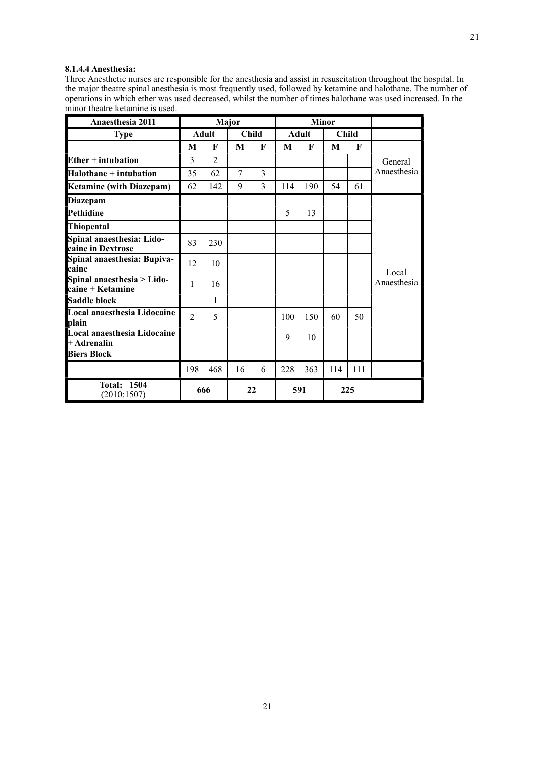## **8.1.4.4 Anesthesia:**

Three Anesthetic nurses are responsible for the anesthesia and assist in resuscitation throughout the hospital. In the major theatre spinal anesthesia is most frequently used, followed by ketamine and halothane. The number of operations in which ether was used decreased, whilst the number of times halothane was used increased. In the minor theatre ketamine is used.

| Anaesthesia 2011                               | Major          |                |    |              |     | <b>Minor</b> |     |              |             |
|------------------------------------------------|----------------|----------------|----|--------------|-----|--------------|-----|--------------|-------------|
| <b>Type</b>                                    |                | <b>Adult</b>   |    | <b>Child</b> |     | <b>Adult</b> |     | <b>Child</b> |             |
|                                                | M              | F              | M  | F            | M   | F            | M   | F            |             |
| $Ether + intubation$                           | 3              | $\overline{2}$ |    |              |     |              |     |              | General     |
| Halothane + intubation                         | 35             | 62             | 7  | 3            |     |              |     |              | Anaesthesia |
| <b>Ketamine (with Diazepam)</b>                | 62             | 142            | 9  | 3            | 114 | 190          | 54  | 61           |             |
| <b>Diazepam</b>                                |                |                |    |              |     |              |     |              |             |
| Pethidine                                      |                |                |    |              | 5   | 13           |     |              |             |
| Thiopental                                     |                |                |    |              |     |              |     |              |             |
| Spinal anaesthesia: Lido-<br>caine in Dextrose | 83             | 230            |    |              |     |              |     |              |             |
| Spinal anaesthesia: Bupiva-<br>caine           | 12             | 10             |    |              |     |              |     |              | Local       |
| Spinal anaesthesia > Lido-<br>caine + Ketamine | 1              | 16             |    |              |     |              |     |              | Anaesthesia |
| Saddle block                                   |                | 1              |    |              |     |              |     |              |             |
| Local anaesthesia Lidocaine<br>plain           | $\mathfrak{D}$ | 5              |    |              | 100 | 150          | 60  | 50           |             |
| Local anaesthesia Lidocaine<br>+ Adrenalin     |                |                |    |              | 9   | 10           |     |              |             |
| <b>Biers Block</b>                             |                |                |    |              |     |              |     |              |             |
|                                                | 198            | 468            | 16 | 6            | 228 | 363          | 114 | 111          |             |
| <b>Total: 1504</b><br>(2010:1507)              |                | 666            |    | 22           |     | 591          |     | 225          |             |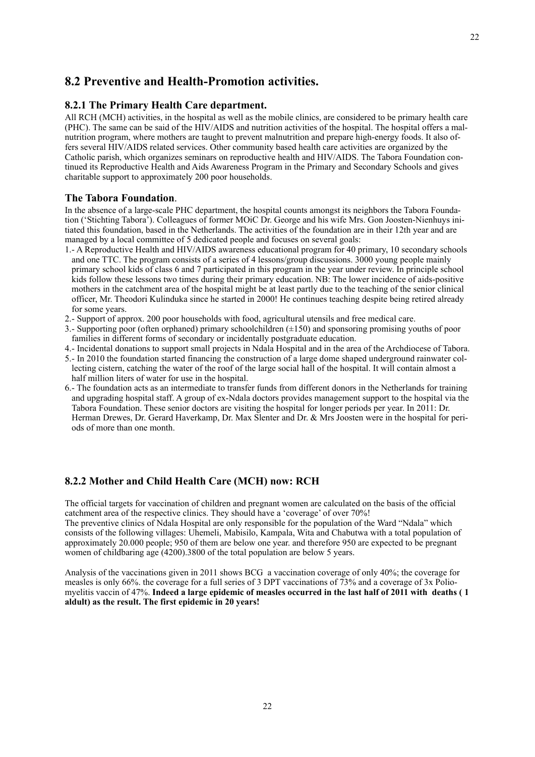## <span id="page-20-0"></span>**8.2 Preventive and Health-Promotion activities.**

## <span id="page-20-1"></span>**8.2.1 The Primary Health Care department.**

All RCH (MCH) activities, in the hospital as well as the mobile clinics, are considered to be primary health care (PHC). The same can be said of the HIV/AIDS and nutrition activities of the hospital. The hospital offers a malnutrition program, where mothers are taught to prevent malnutrition and prepare high-energy foods. It also offers several HIV/AIDS related services. Other community based health care activities are organized by the Catholic parish, which organizes seminars on reproductive health and HIV/AIDS. The Tabora Foundation continued its Reproductive Health and Aids Awareness Program in the Primary and Secondary Schools and gives charitable support to approximately 200 poor households.

#### **The Tabora Foundation**.

In the absence of a large-scale PHC department, the hospital counts amongst its neighbors the Tabora Foundation ('Stichting Tabora'). Colleagues of former MOiC Dr. George and his wife Mrs. Gon Joosten-Nienhuys initiated this foundation, based in the Netherlands. The activities of the foundation are in their 12th year and are managed by a local committee of 5 dedicated people and focuses on several goals:

- 1.- A Reproductive Health and HIV/AIDS awareness educational program for 40 primary, 10 secondary schools and one TTC. The program consists of a series of 4 lessons/group discussions. 3000 young people mainly primary school kids of class 6 and 7 participated in this program in the year under review. In principle school kids follow these lessons two times during their primary education. NB: The lower incidence of aids-positive mothers in the catchment area of the hospital might be at least partly due to the teaching of the senior clinical officer, Mr. Theodori Kulinduka since he started in 2000! He continues teaching despite being retired already for some years.
- 2.- Support of approx. 200 poor households with food, agricultural utensils and free medical care.
- 3.- Supporting poor (often orphaned) primary schoolchildren (±150) and sponsoring promising youths of poor families in different forms of secondary or incidentally postgraduate education.
- 4.- Incidental donations to support small projects in Ndala Hospital and in the area of the Archdiocese of Tabora.
- 5.- In 2010 the foundation started financing the construction of a large dome shaped underground rainwater collecting cistern, catching the water of the roof of the large social hall of the hospital. It will contain almost a half million liters of water for use in the hospital.
- 6.- The foundation acts as an intermediate to transfer funds from different donors in the Netherlands for training and upgrading hospital staff. A group of ex-Ndala doctors provides management support to the hospital via the Tabora Foundation. These senior doctors are visiting the hospital for longer periods per year. In 2011: Dr. Herman Drewes, Dr. Gerard Haverkamp, Dr. Max Slenter and Dr. & Mrs Joosten were in the hospital for periods of more than one month.

## <span id="page-20-2"></span>**8.2.2 Mother and Child Health Care (MCH) now: RCH**

The official targets for vaccination of children and pregnant women are calculated on the basis of the official catchment area of the respective clinics. They should have a 'coverage' of over 70%! The preventive clinics of Ndala Hospital are only responsible for the population of the Ward "Ndala" which consists of the following villages: Uhemeli, Mabisilo, Kampala, Wita and Chabutwa with a total population of approximately 20.000 people; 950 of them are below one year. and therefore 950 are expected to be pregnant women of childbaring age (4200).3800 of the total population are below 5 years.

Analysis of the vaccinations given in 2011 shows BCG a vaccination coverage of only 40%; the coverage for measles is only 66%. the coverage for a full series of 3 DPT vaccinations of 73% and a coverage of 3x Poliomyelitis vaccin of 47%. **Indeed a large epidemic of measles occurred in the last half of 2011 with deaths ( 1 aldult) as the result. The first epidemic in 20 years!**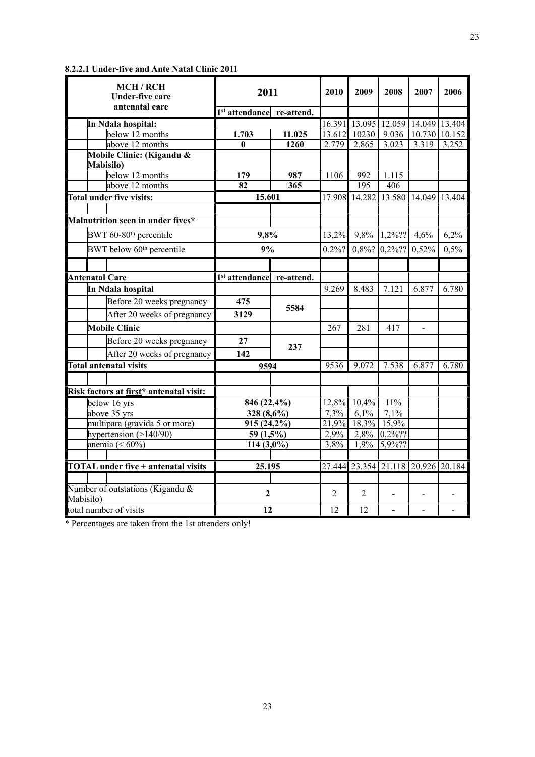| <b>MCH/RCH</b><br><b>Under-five care</b> | 2011                                  |        | 2010           | 2009             | 2008                               | 2007                 | 2006  |
|------------------------------------------|---------------------------------------|--------|----------------|------------------|------------------------------------|----------------------|-------|
| antenatal care                           | 1 <sup>st</sup> attendance re-attend. |        |                |                  |                                    |                      |       |
| In Ndala hospital:                       |                                       |        |                |                  | 16.391 13.095 12.059 14.049 13.404 |                      |       |
| below 12 months                          | 1.703                                 | 11.025 | 13.612         | 10230            | 9.036                              | 10.730 10.152        |       |
| above 12 months                          | $\bf{0}$                              | 1260   | 2.779          | 2.865            | 3.023                              | 3.319                | 3.252 |
| Mobile Clinic: (Kigandu &                |                                       |        |                |                  |                                    |                      |       |
| <b>Mabisilo</b> )                        |                                       |        |                |                  |                                    |                      |       |
| below 12 months                          | 179                                   | 987    | 1106           | 992              | 1.115                              |                      |       |
| above 12 months                          | 82                                    | 365    |                | $\overline{195}$ | 406                                |                      |       |
| Total under five visits:                 | 15.601                                |        | 17.908         | 14.282           |                                    | 13.580 14.049 13.404 |       |
| Malnutrition seen in under fives*        |                                       |        |                |                  |                                    |                      |       |
| BWT 60-80 <sup>th</sup> percentile       | 9,8%                                  |        | 13,2%          | $9,8\%$          | $1,2\%$ ??                         | 4,6%                 | 6,2%  |
| BWT below 60 <sup>th</sup> percentile    | 9%                                    |        | $0.2\%$ ?      |                  | $0,8\%$ ? $\vert 0,2\%$ ??         | 0,52%                | 0,5%  |
|                                          |                                       |        |                |                  |                                    |                      |       |
| <b>Antenatal Care</b>                    | 1 <sup>st</sup> attendance re-attend. |        |                |                  |                                    |                      |       |
| In Ndala hospital                        |                                       |        | 9.269          | 8.483            | 7.121                              | 6.877                | 6.780 |
| Before 20 weeks pregnancy                | 475                                   | 5584   |                |                  |                                    |                      |       |
| After 20 weeks of pregnancy              | 3129                                  |        |                |                  |                                    |                      |       |
| <b>Mobile Clinic</b>                     |                                       |        | 267            | 281              | 417                                | $\overline{a}$       |       |
| Before 20 weeks pregnancy                | 27                                    | 237    |                |                  |                                    |                      |       |
| After 20 weeks of pregnancy              | 142                                   |        |                |                  |                                    |                      |       |
| <b>Total antenatal visits</b>            | 9594                                  |        | 9536           | 9.072            | 7.538                              | 6.877                | 6.780 |
|                                          |                                       |        |                |                  |                                    |                      |       |
| Risk factors at first* antenatal visit:  |                                       |        |                |                  |                                    |                      |       |
| below 16 yrs                             | 846 (22,4%)                           |        | 12,8%          | 10,4%            | 11%                                |                      |       |
| above 35 yrs                             | 328 (8,6%)                            |        | 7,3%           | 6,1%             | 7,1%                               |                      |       |
| multipara (gravida 5 or more)            | 915 (24,2%)                           |        | 21,9%          | $18,3\%$         | 15,9%                              |                      |       |
| hypertension $(>140/90)$                 | 59 $(1,5\%)$                          |        | 2,9%           |                  | $2,8\%$ 0,2%??                     |                      |       |
| anemia $(< 60\%)$                        | 114 $(3,0\%)$                         |        | 3,8%           | 1,9%             | $5,9\frac{6}{2}$ ?                 |                      |       |
|                                          |                                       |        |                |                  |                                    |                      |       |
| TOTAL under five + antenatal visits      | 25.195                                |        |                |                  | 27.444 23.354 21.118 20.926 20.184 |                      |       |
| Number of outstations (Kigandu &         | $\overline{2}$                        |        | $\overline{2}$ | $\overline{2}$   |                                    |                      |       |
| Mabisilo)                                |                                       |        |                |                  |                                    |                      |       |
| total number of visits                   | 12                                    |        | 12             | 12               | $\overline{a}$                     |                      |       |

\* Percentages are taken from the 1st attenders only!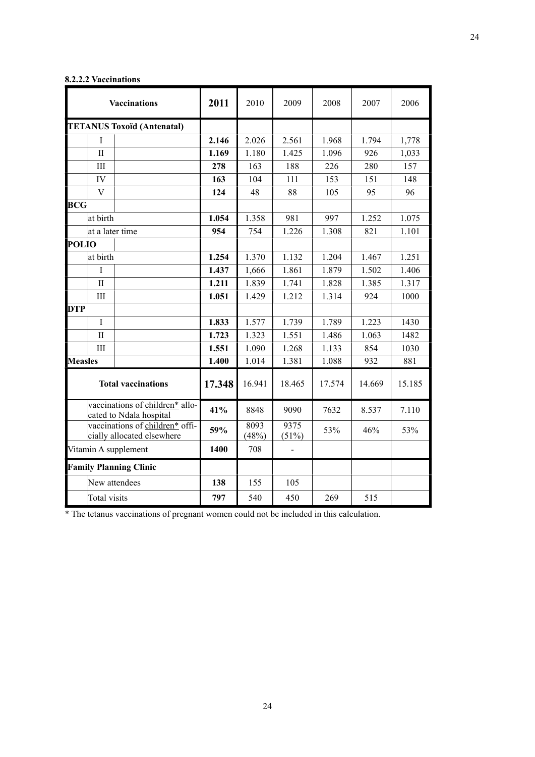| <b>Vaccinations</b>                                           | 2011   | 2010          | 2009          | 2008   | 2007   | 2006   |
|---------------------------------------------------------------|--------|---------------|---------------|--------|--------|--------|
| <b>TETANUS Toxoïd (Antenatal)</b>                             |        |               |               |        |        |        |
| I                                                             | 2.146  | 2.026         | 2.561         | 1.968  | 1.794  | 1,778  |
| $\mathbf{I}$                                                  | 1.169  | 1.180         | 1.425         | 1.096  | 926    | 1,033  |
| III                                                           | 278    | 163           | 188           | 226    | 280    | 157    |
| IV                                                            | 163    | 104           | 111           | 153    | 151    | 148    |
| V                                                             | 124    | 48            | 88            | 105    | 95     | 96     |
| <b>BCG</b>                                                    |        |               |               |        |        |        |
| at birth                                                      | 1.054  | 1.358         | 981           | 997    | 1.252  | 1.075  |
| at a later time                                               | 954    | 754           | 1.226         | 1.308  | 821    | 1.101  |
| <b>POLIO</b>                                                  |        |               |               |        |        |        |
| at birth                                                      | 1.254  | 1.370         | 1.132         | 1.204  | 1.467  | 1.251  |
| I                                                             | 1.437  | 1,666         | 1.861         | 1.879  | 1.502  | 1.406  |
| $\mathbf{I}$                                                  | 1.211  | 1.839         | 1.741         | 1.828  | 1.385  | 1.317  |
| III                                                           | 1.051  | 1.429         | 1.212         | 1.314  | 924    | 1000   |
| <b>DTP</b>                                                    |        |               |               |        |        |        |
| $\mathbf I$                                                   | 1.833  | 1.577         | 1.739         | 1.789  | 1.223  | 1430   |
| $\mathbf{I}$                                                  | 1.723  | 1.323         | 1.551         | 1.486  | 1.063  | 1482   |
| III                                                           | 1.551  | 1.090         | 1.268         | 1.133  | 854    | 1030   |
| <b>Measles</b>                                                | 1.400  | 1.014         | 1.381         | 1.088  | 932    | 881    |
| <b>Total vaccinations</b>                                     | 17.348 | 16.941        | 18.465        | 17.574 | 14.669 | 15.185 |
| vaccinations of children* allo-<br>cated to Ndala hospital    | 41%    | 8848          | 9090          | 7632   | 8.537  | 7.110  |
| vaccinations of children* offi-<br>cially allocated elsewhere | 59%    | 8093<br>(48%) | 9375<br>(51%) | 53%    | 46%    | 53%    |
| Vitamin A supplement                                          | 1400   | 708           |               |        |        |        |
| <b>Family Planning Clinic</b>                                 |        |               |               |        |        |        |
| New attendees                                                 | 138    | 155           | 105           |        |        |        |
| Total visits                                                  | 797    | 540           | 450           | 269    | 515    |        |

## **8.2.2.2 Vaccinations**

\* The tetanus vaccinations of pregnant women could not be included in this calculation.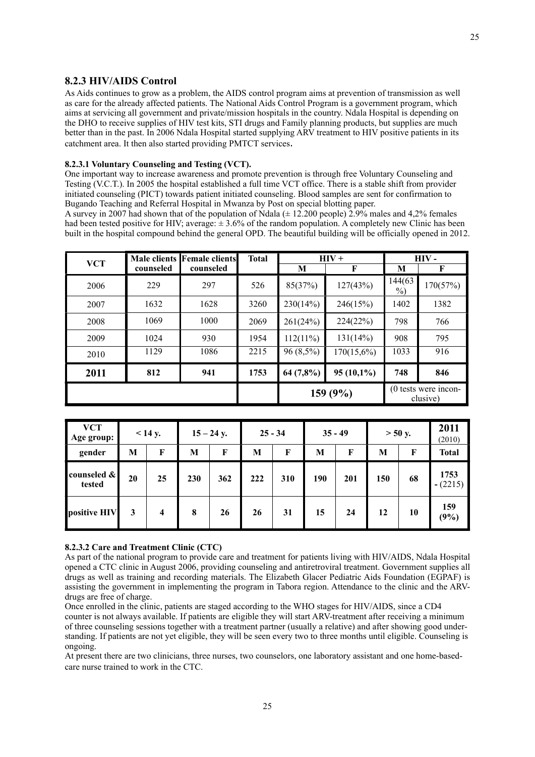## <span id="page-23-0"></span>**8.2.3 HIV/AIDS Control**

As Aids continues to grow as a problem, the AIDS control program aims at prevention of transmission as well as care for the already affected patients. The National Aids Control Program is a government program, which aims at servicing all government and private/mission hospitals in the country. Ndala Hospital is depending on the DHO to receive supplies of HIV test kits, STI drugs and Family planning products, but supplies are much better than in the past. In 2006 Ndala Hospital started supplying ARV treatment to HIV positive patients in its catchment area. It then also started providing PMTCT services.

#### **8.2.3.1 Voluntary Counseling and Testing (VCT).**

One important way to increase awareness and promote prevention is through free Voluntary Counseling and Testing (V.C.T.). In 2005 the hospital established a full time VCT office. There is a stable shift from provider initiated counseling (PICT) towards patient initiated counseling. Blood samples are sent for confirmation to Bugando Teaching and Referral Hospital in Mwanza by Post on special blotting paper.

A survey in 2007 had shown that of the population of Ndala ( $\pm$  12.200 people) 2.9% males and 4.2% females had been tested positive for HIV; average:  $\pm 3.6\%$  of the random population. A completely new Clinic has been built in the hospital compound behind the general OPD. The beautiful building will be officially opened in 2012.

| <b>VCT</b> |           | Male clients Female clients | <b>Total</b> |             | $HIV +$       | HIV -             |                                    |  |
|------------|-----------|-----------------------------|--------------|-------------|---------------|-------------------|------------------------------------|--|
|            | counseled | counseled                   |              | М           | F             | М                 | F                                  |  |
| 2006       | 229       | 297                         | 526          | 85(37%)     | 127(43%)      | 144(63)<br>$\%$ ) | 170(57%)                           |  |
| 2007       | 1632      | 1628                        | 3260         | 230(14%)    | 246(15%)      | 1402              | 1382                               |  |
| 2008       | 1069      | 1000                        | 2069         | 261(24%)    | 224(22%)      | 798               | 766                                |  |
| 2009       | 1024      | 930                         | 1954         | $112(11\%)$ | 131(14%)      | 908               | 795                                |  |
| 2010       | 1129      | 1086                        | 2215         | $96(8,5\%)$ | $170(15,6\%)$ | 1033              | 916                                |  |
| 2011       | 812       | 941                         | 1753         | 64(7,8%)    | $95(10,1\%)$  | 748               | 846                                |  |
|            |           |                             |              |             | 159 (9%)      |                   | $(0$ tests were incon-<br>clusive) |  |

| <b>VCT</b><br>Age group: |    | $<$ 14 y.               |     | $15 - 24$ y. |     | $25 - 34$ |     | $35 - 49$ |     | $> 50$ y. |                   |
|--------------------------|----|-------------------------|-----|--------------|-----|-----------|-----|-----------|-----|-----------|-------------------|
| gender                   | M  | F                       | М   | F            | M   | F         | M   | F         | M   | F         | <b>Total</b>      |
| counseled &<br>tested    | 20 | 25                      | 230 | 362          | 222 | 310       | 190 | 201       | 150 | 68        | 1753<br>$-(2215)$ |
| positive HIV             | 3  | $\overline{\mathbf{4}}$ | 8   | 26           | 26  | 31        | 15  | 24        | 12  | 10        | 159<br>(9%)       |

#### **8.2.3.2 Care and Treatment Clinic (CTC)**

As part of the national program to provide care and treatment for patients living with HIV/AIDS, Ndala Hospital opened a CTC clinic in August 2006, providing counseling and antiretroviral treatment. Government supplies all drugs as well as training and recording materials. The Elizabeth Glacer Pediatric Aids Foundation (EGPAF) is assisting the government in implementing the program in Tabora region. Attendance to the clinic and the ARVdrugs are free of charge.

Once enrolled in the clinic, patients are staged according to the WHO stages for HIV/AIDS, since a CD4 counter is not always available. If patients are eligible they will start ARV-treatment after receiving a minimum of three counseling sessions together with a treatment partner (usually a relative) and after showing good understanding. If patients are not yet eligible, they will be seen every two to three months until eligible. Counseling is ongoing.

At present there are two clinicians, three nurses, two counselors, one laboratory assistant and one home-basedcare nurse trained to work in the CTC.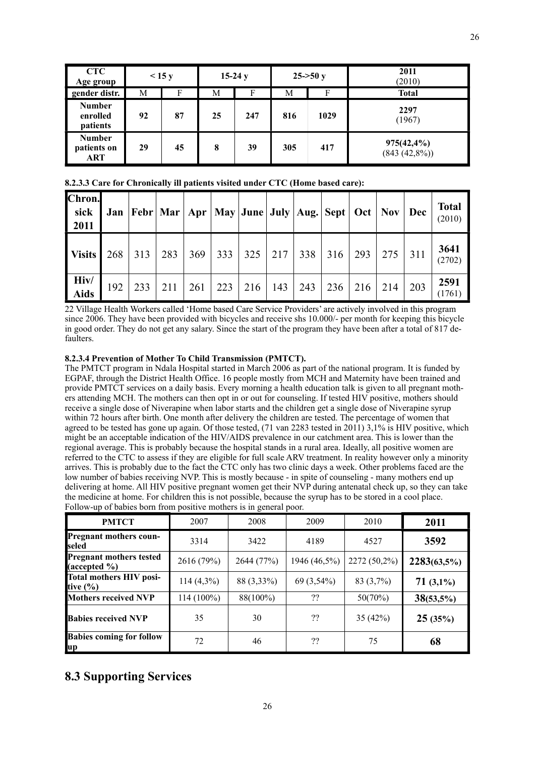| <b>CTC</b><br>Age group               |    | $\leq$ 15 y |    | $15-24y$ | $25 - 50y$ |      | 2011<br>(2010)                    |
|---------------------------------------|----|-------------|----|----------|------------|------|-----------------------------------|
| gender distr.                         | М  |             | М  | F        | М          | F    | <b>Total</b>                      |
| <b>Number</b><br>enrolled<br>patients | 92 | 87          | 25 | 247      | 816        | 1029 | 2297<br>(1967)                    |
| <b>Number</b><br>patients on<br>ART   | 29 | 45          | 8  | 39       | 305        | 417  | $975(42, 4\%)$<br>$(843 (42,8\%)$ |

**8.2.3.3 Care for Chronically ill patients visited under CTC (Home based care):**

| Chron.<br>  sick<br>  2011 | Jan | Febr   Mar   Apr   May   June   July   Aug.   Sept   Oct   Nov   Dec |     |     |     |     |     |     |     |     |     |     | <b>Total</b><br>(2010) |
|----------------------------|-----|----------------------------------------------------------------------|-----|-----|-----|-----|-----|-----|-----|-----|-----|-----|------------------------|
| <b>Visits</b>              | 268 | 313                                                                  | 283 | 369 | 333 | 325 | 217 | 338 | 316 | 293 | 275 | 311 | 3641<br>(2702)         |
| Hiv/<br>  Aids             | 192 | 233                                                                  | 211 | 261 | 223 | 216 | 143 | 243 | 236 | 216 | 214 | 203 | 2591<br>(1761)         |

22 Village Health Workers called 'Home based Care Service Providers' are actively involved in this program since 2006. They have been provided with bicycles and receive shs 10.000/- per month for keeping this bicycle in good order. They do not get any salary. Since the start of the program they have been after a total of 817 defaulters.

## **8.2.3.4 Prevention of Mother To Child Transmission (PMTCT).**

The PMTCT program in Ndala Hospital started in March 2006 as part of the national program. It is funded by EGPAF, through the District Health Office. 16 people mostly from MCH and Maternity have been trained and provide PMTCT services on a daily basis. Every morning a health education talk is given to all pregnant mothers attending MCH. The mothers can then opt in or out for counseling. If tested HIV positive, mothers should receive a single dose of Niverapine when labor starts and the children get a single dose of Niverapine syrup within 72 hours after birth. One month after delivery the children are tested. The percentage of women that agreed to be tested has gone up again. Of those tested, (71 van 2283 tested in 2011) 3,1% is HIV positive, which might be an acceptable indication of the HIV/AIDS prevalence in our catchment area. This is lower than the regional average. This is probably because the hospital stands in a rural area. Ideally, all positive women are referred to the CTC to assess if they are eligible for full scale ARV treatment. In reality however only a minority arrives. This is probably due to the fact the CTC only has two clinic days a week. Other problems faced are the low number of babies receiving NVP. This is mostly because - in spite of counseling - many mothers end up delivering at home. All HIV positive pregnant women get their NVP during antenatal check up, so they can take the medicine at home. For children this is not possible, because the syrup has to be stored in a cool place. Follow-up of babies born from positive mothers is in general poor.

| <b>PMTCT</b>                                             | 2007         | 2008       | 2009         | 2010         | 2011         |
|----------------------------------------------------------|--------------|------------|--------------|--------------|--------------|
| Pregnant mothers coun-<br>seled                          | 3314         | 3422       | 4189         | 4527         | 3592         |
| <b>Pregnant mothers tested</b><br>$(\text{accepted } %)$ | 2616 (79%)   | 2644 (77%) | 1946 (46,5%) | 2272 (50,2%) | 2283(63,5%)  |
| Total mothers HIV posi-<br>tive $(\% )$                  | $114(4,3\%)$ | 88 (3,33%) | 69 (3,54%)   | 83 (3,7%)    | $71(3,1\%)$  |
| <b>Mothers received NVP</b>                              | 114 (100%)   | 88(100%)   | ??           | 50(70%)      | $38(53,5\%)$ |
| <b>Babies received NVP</b>                               | 35           | 30         | ??           | 35(42%)      | 25(35%)      |
| <b>Babies coming for follow</b><br>up                    | 72           | 46         | ??           | 75           | 68           |

## <span id="page-24-0"></span>**8.3 Supporting Services**

26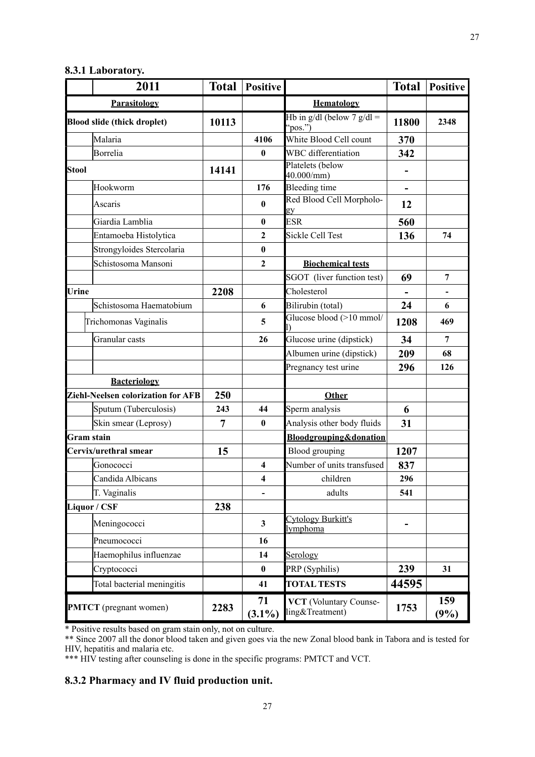## <span id="page-25-0"></span>**8.3.1 Laboratory.**

| 2011                                      | <b>Total</b> | <b>Positive</b>         |                                                 | <b>Total</b>             | <b>Positive</b> |
|-------------------------------------------|--------------|-------------------------|-------------------------------------------------|--------------------------|-----------------|
| <b>Parasitology</b>                       |              |                         | <b>Hematology</b>                               |                          |                 |
| <b>Blood slide (thick droplet)</b>        | 10113        |                         | Hb in $g/dl$ (below 7 $g/dl =$<br>$^{6}$ pos.") | 11800                    | 2348            |
| Malaria                                   |              | 4106                    | White Blood Cell count                          | 370                      |                 |
| Borrelia                                  |              | $\bf{0}$                | <b>WBC</b> differentiation                      | 342                      |                 |
| <b>Stool</b>                              | 14141        |                         | Platelets (below<br>40.000/mm                   |                          |                 |
| Hookworm                                  |              | 176                     | <b>Bleeding time</b>                            | $\overline{\phantom{0}}$ |                 |
| Ascaris                                   |              | $\bf{0}$                | Red Blood Cell Morpholo-<br>gy                  | 12                       |                 |
| Giardia Lamblia                           |              | $\bf{0}$                | <b>ESR</b>                                      | 560                      |                 |
| Entamoeba Histolytica                     |              | $\mathbf{2}$            | <b>Sickle Cell Test</b>                         | 136                      | 74              |
| Strongyloides Stercolaria                 |              | $\bf{0}$                |                                                 |                          |                 |
| Schistosoma Mansoni                       |              | $\mathbf{2}$            | <b>Biochemical tests</b>                        |                          |                 |
|                                           |              |                         | SGOT (liver function test)                      | 69                       | $\overline{7}$  |
| Urine                                     | 2208         |                         | Cholesterol                                     |                          |                 |
| Schistosoma Haematobium                   |              | 6                       | Bilirubin (total)                               | 24                       | 6               |
| Trichomonas Vaginalis                     |              | 5                       | Glucose blood (>10 mmol/                        | 1208                     | 469             |
| Granular casts                            |              | 26                      | Glucose urine (dipstick)                        | 34                       | 7               |
|                                           |              |                         | Albumen urine (dipstick)                        | 209                      | 68              |
|                                           |              |                         | Pregnancy test urine                            | 296                      | 126             |
| <b>Bacteriology</b>                       |              |                         |                                                 |                          |                 |
| <b>Ziehl-Neelsen colorization for AFB</b> | 250          |                         | Other                                           |                          |                 |
| Sputum (Tuberculosis)                     | 243          | 44                      | Sperm analysis                                  | 6                        |                 |
| Skin smear (Leprosy)                      | 7            | $\bf{0}$                | Analysis other body fluids                      | 31                       |                 |
| Gram stain                                |              |                         | <b>Bloodgrouping&amp;donation</b>               |                          |                 |
| Cervix/urethral smear                     | 15           |                         | Blood grouping                                  | 1207                     |                 |
| Gonococci                                 |              | $\overline{\mathbf{4}}$ | Number of units transfused                      | 837                      |                 |
| Candida Albicans                          |              | 4                       | children                                        | 296                      |                 |
| T. Vaginalis                              |              |                         | adults                                          | 541                      |                 |
| Liquor / CSF                              | 238          |                         |                                                 |                          |                 |
| Meningococci                              |              | $\mathbf{3}$            | Cytology Burkitt's<br>lymphoma                  |                          |                 |
| Pneumococci                               |              | 16                      |                                                 |                          |                 |
| Haemophilus influenzae                    |              | 14                      | Serology                                        |                          |                 |
| Cryptococci                               |              | $\pmb{0}$               | PRP (Syphilis)                                  | 239                      | 31              |
| Total bacterial meningitis                |              | 41                      | <b>TOTAL TESTS</b>                              | 44595                    |                 |
| <b>PMTCT</b> (pregnant women)             | 2283         | 71<br>$(3.1\%)$         | VCT (Voluntary Counse-<br>ling&Treatment)       | 1753                     | 159<br>(9%)     |

\* Positive results based on gram stain only, not on culture.

\*\* Since 2007 all the donor blood taken and given goes via the new Zonal blood bank in Tabora and is tested for HIV, hepatitis and malaria etc.

\*\*\* HIV testing after counseling is done in the specific programs: PMTCT and VCT.

## <span id="page-25-1"></span>**8.3.2 Pharmacy and IV fluid production unit.**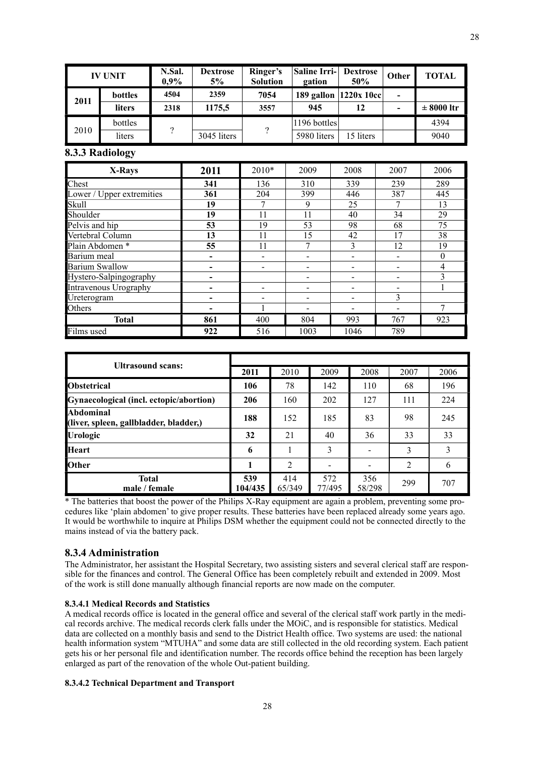| <b>IV UNIT</b> |               | N.Sal.<br>$0.9\%$ | <b>Dextrose</b><br>5% | Ringer's<br><b>Solution</b> | Saline Irri-  <br><b>Dextrose</b><br>50%<br>gation |                          | Other                    | <b>TOTAL</b>   |
|----------------|---------------|-------------------|-----------------------|-----------------------------|----------------------------------------------------|--------------------------|--------------------------|----------------|
| 2011           | bottles       | 4504              | 2359                  | 7054                        |                                                    | 189 gallon $ 1220x 10c $ | $\blacksquare$           |                |
|                | <b>liters</b> | 2318              | 1175,5                | 3557                        | 945                                                | 12                       | $\overline{\phantom{0}}$ | $\pm$ 8000 ltr |
|                | bottles       |                   |                       | $\mathcal{D}$               | 1196 bottles                                       |                          |                          | 4394           |
| 2010           | liters        |                   | 3045 liters           |                             | 5980 liters                                        | 15 liters                |                          | 9040           |

#### <span id="page-26-0"></span>**8.3.3 Radiology**

| X-Rays                    | 2011                     | $2010*$ | 2009 | 2008 | 2007 | 2006           |
|---------------------------|--------------------------|---------|------|------|------|----------------|
| Chest                     | 341                      | 136     | 310  | 339  | 239  | 289            |
| Lower / Upper extremities | 361                      | 204     | 399  | 446  | 387  | 445            |
| <b>Skull</b>              | 19                       |         | 9    | 25   | 7    | 13             |
| Shoulder                  | 19                       | 11      | 11   | 40   | 34   | 29             |
| Pelvis and hip            | 53                       | 19      | 53   | 98   | 68   | 75             |
| Vertebral Column          | 13                       | 11      | 15   | 42   | 17   | 38             |
| Plain Abdomen *           | 55                       | 11      |      | 3    | 12   | 19             |
| Barium meal               | $\overline{\phantom{0}}$ |         |      |      |      | $\theta$       |
| <b>Barium Swallow</b>     |                          |         |      |      |      | $\overline{4}$ |
| Hystero-Salpingography    |                          |         |      |      |      | ζ              |
| Intravenous Urography     |                          |         |      |      |      |                |
| Ureterogram               |                          |         |      |      | 3    |                |
| Others                    |                          |         |      |      |      | 7              |
| <b>Total</b>              | 861                      | 400     | 804  | 993  | 767  | 923            |
| Films used                | 922                      | 516     | 1003 | 1046 | 789  |                |

| <b>Ultrasound scans:</b>                            |                |               |               |               |      |      |
|-----------------------------------------------------|----------------|---------------|---------------|---------------|------|------|
|                                                     | 2011           | 2010          | 2009          | 2008          | 2007 | 2006 |
| <b>Obstetrical</b>                                  | 106            | 78            | 142           | 110           | 68   | 196  |
| Gynaecological (incl. ectopic/abortion)             | 206            | 160           | 202           | 127           | 111  | 224  |
| Abdominal<br>(liver, spleen, gallbladder, bladder,) | 188            | 152           | 185           | 83            | 98   | 245  |
| <b>Urologic</b>                                     | 32             | 21            | 40            | 36            | 33   | 33   |
| <b>Heart</b>                                        | 6              |               | 3             |               | 3    | 3    |
| <b>Other</b>                                        | 1              | 2             |               |               | 2    | 6    |
| <b>Total</b><br>male / female                       | 539<br>104/435 | 414<br>65/349 | 572<br>77/495 | 356<br>58/298 | 299  | 707  |

\* The batteries that boost the power of the Philips X-Ray equipment are again a problem, preventing some procedures like 'plain abdomen' to give proper results. These batteries have been replaced already some years ago. It would be worthwhile to inquire at Philips DSM whether the equipment could not be connected directly to the mains instead of via the battery pack.

#### <span id="page-26-1"></span>**8.3.4 Administration**

The Administrator, her assistant the Hospital Secretary, two assisting sisters and several clerical staff are responsible for the finances and control. The General Office has been completely rebuilt and extended in 2009. Most of the work is still done manually although financial reports are now made on the computer.

#### **8.3.4.1 Medical Records and Statistics**

A medical records office is located in the general office and several of the clerical staff work partly in the medical records archive. The medical records clerk falls under the MOiC, and is responsible for statistics. Medical data are collected on a monthly basis and send to the District Health office. Two systems are used: the national health information system "MTUHA" and some data are still collected in the old recording system. Each patient gets his or her personal file and identification number. The records office behind the reception has been largely enlarged as part of the renovation of the whole Out-patient building.

#### **8.3.4.2 Technical Department and Transport**

28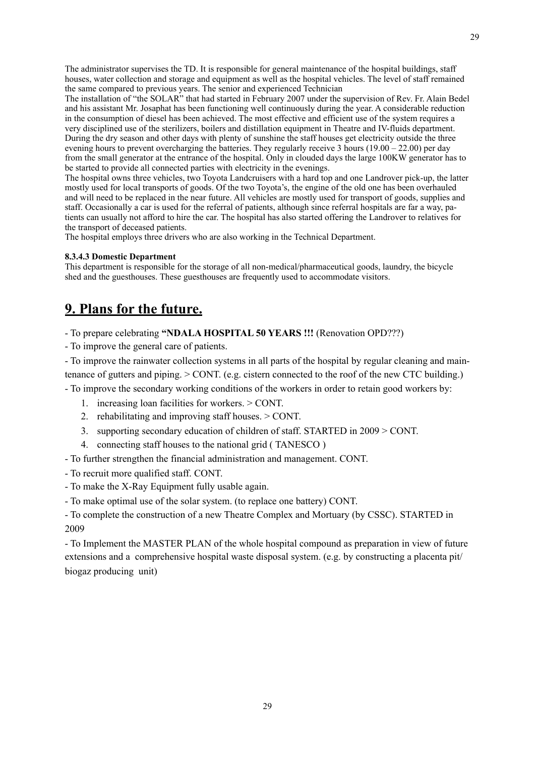The administrator supervises the TD. It is responsible for general maintenance of the hospital buildings, staff houses, water collection and storage and equipment as well as the hospital vehicles. The level of staff remained the same compared to previous years. The senior and experienced Technician

The installation of "the SOLAR" that had started in February 2007 under the supervision of Rev. Fr. Alain Bedel and his assistant Mr. Josaphat has been functioning well continuously during the year. A considerable reduction in the consumption of diesel has been achieved. The most effective and efficient use of the system requires a very disciplined use of the sterilizers, boilers and distillation equipment in Theatre and IV-fluids department. During the dry season and other days with plenty of sunshine the staff houses get electricity outside the three evening hours to prevent overcharging the batteries. They regularly receive 3 hours (19.00 – 22.00) per day from the small generator at the entrance of the hospital. Only in clouded days the large 100KW generator has to be started to provide all connected parties with electricity in the evenings.

The hospital owns three vehicles, two Toyota Landcruisers with a hard top and one Landrover pick-up, the latter mostly used for local transports of goods. Of the two Toyota's, the engine of the old one has been overhauled and will need to be replaced in the near future. All vehicles are mostly used for transport of goods, supplies and staff. Occasionally a car is used for the referral of patients, although since referral hospitals are far a way, patients can usually not afford to hire the car. The hospital has also started offering the Landrover to relatives for the transport of deceased patients.

The hospital employs three drivers who are also working in the Technical Department.

## **8.3.4.3 Domestic Department**

This department is responsible for the storage of all non-medical/pharmaceutical goods, laundry, the bicycle shed and the guesthouses. These guesthouses are frequently used to accommodate visitors.

## <span id="page-27-0"></span>**9. Plans for the future.**

- To prepare celebrating **"NDALA HOSPITAL 50 YEARS !!!** (Renovation OPD???)

- To improve the general care of patients.
- To improve the rainwater collection systems in all parts of the hospital by regular cleaning and maintenance of gutters and piping. > CONT. (e.g. cistern connected to the roof of the new CTC building.)
- To improve the secondary working conditions of the workers in order to retain good workers by:
	- 1. increasing loan facilities for workers. > CONT.
	- 2. rehabilitating and improving staff houses. > CONT.
	- 3. supporting secondary education of children of staff. STARTED in 2009 > CONT.
	- 4. connecting staff houses to the national grid ( TANESCO )
- To further strengthen the financial administration and management. CONT.
- To recruit more qualified staff. CONT.
- To make the X-Ray Equipment fully usable again.
- To make optimal use of the solar system. (to replace one battery) CONT.

- To complete the construction of a new Theatre Complex and Mortuary (by CSSC). STARTED in 2009

- To Implement the MASTER PLAN of the whole hospital compound as preparation in view of future extensions and a comprehensive hospital waste disposal system. (e.g. by constructing a placenta pit/ biogaz producing unit)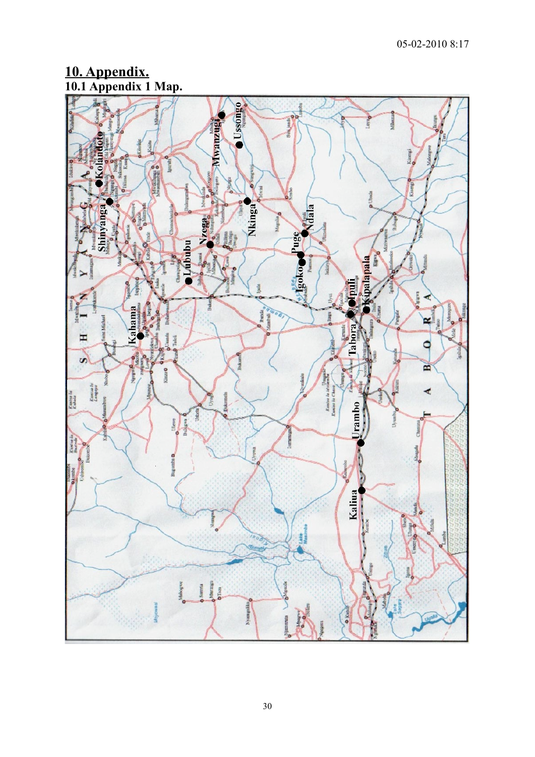# <span id="page-28-0"></span>**10. Appendix. 10.1 Appendix 1 Map.**

<span id="page-28-1"></span>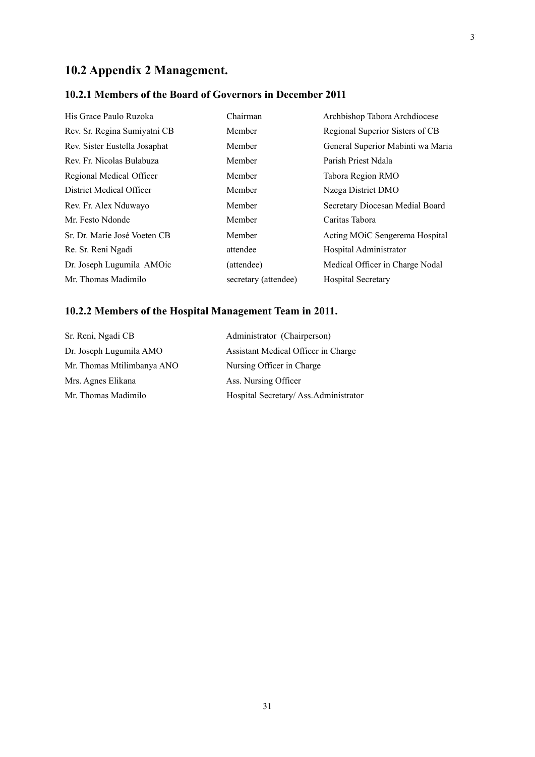# <span id="page-29-0"></span>**10.2 Appendix 2 Management.**

## <span id="page-29-1"></span>**10.2.1 Members of the Board of Governors in December 2011**

| His Grace Paulo Ruzoka        | Chairman             | Archbishop Tabora Archdiocese               |
|-------------------------------|----------------------|---------------------------------------------|
| Rev. Sr. Regina Sumiyatni CB  | Member               | Regional Superior Sisters of CB             |
| Rev. Sister Eustella Josaphat | Member               | General Superior Mabinti wa Maria           |
| Rev. Fr. Nicolas Bulabuza     | Member               | Parish Priest Ndala                         |
| Regional Medical Officer      | Member               | Tabora Region RMO                           |
| District Medical Officer      | Member               | Nzega District DMO                          |
| Rev. Fr. Alex Nduwayo         | Member               | Secretary Diocesan Medial Board             |
| Mr. Festo Ndonde              | Member               | Caritas Tabora                              |
| Sr. Dr. Marie José Voeten CB  | Member               | Acting MO <sub>i</sub> C Sengerema Hospital |
| Re. Sr. Reni Ngadi            | attendee             | Hospital Administrator                      |
| Dr. Joseph Lugumila AMOic     | (attendee)           | Medical Officer in Charge Nodal             |
| Mr. Thomas Madimilo           | secretary (attendee) | <b>Hospital Secretary</b>                   |

## <span id="page-29-2"></span>**10.2.2 Members of the Hospital Management Team in 2011.**

| Sr. Reni, Ngadi CB         | Administrator (Chairperson)          |
|----------------------------|--------------------------------------|
| Dr. Joseph Lugumila AMO    | Assistant Medical Officer in Charge  |
| Mr. Thomas Mtilimbanya ANO | Nursing Officer in Charge            |
| Mrs. Agnes Elikana         | Ass. Nursing Officer                 |
| Mr. Thomas Madimilo        | Hospital Secretary/Ass.Administrator |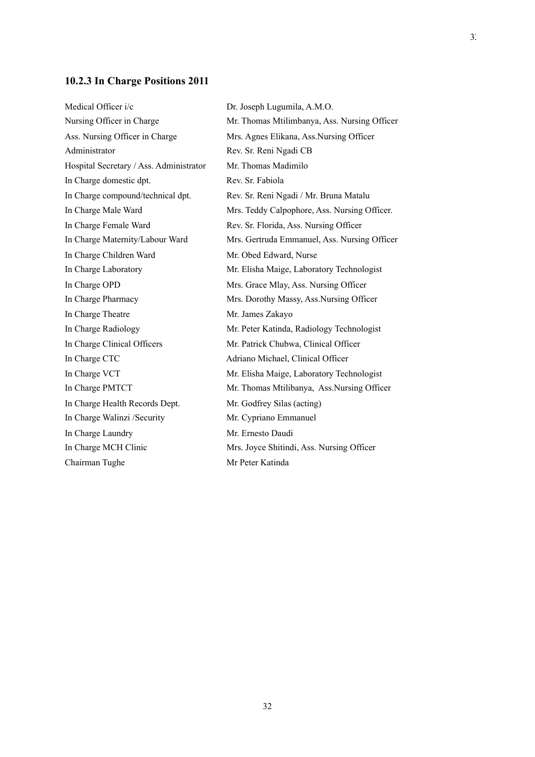#### <span id="page-30-0"></span>**10.2.3 In Charge Positions 2011**

Ass. Nursing Officer in Charge Mrs. Agnes Elikana, Ass. Nursing Officer Administrator Rev. Sr. Reni Ngadi CB Hospital Secretary / Ass. Administrator Mr. Thomas Madimilo In Charge domestic dpt. Rev. Sr. Fabiola In Charge compound/technical dpt. Rev. Sr. Reni Ngadi / Mr. Bruna Matalu In Charge Female Ward Rev. Sr. Florida, Ass. Nursing Officer In Charge Children Ward Mr. Obed Edward, Nurse In Charge Laboratory Mr. Elisha Maige, Laboratory Technologist In Charge OPD Mrs. Grace Mlay, Ass. Nursing Officer In Charge Pharmacy Mrs. Dorothy Massy, Ass.Nursing Officer In Charge Theatre Mr. James Zakayo In Charge Radiology Mr. Peter Katinda, Radiology Technologist In Charge Clinical Officers Mr. Patrick Chubwa, Clinical Officer In Charge CTC Adriano Michael, Clinical Officer In Charge VCT Mr. Elisha Maige, Laboratory Technologist In Charge Health Records Dept. Mr. Godfrey Silas (acting) In Charge Walinzi /Security Mr. Cypriano Emmanuel In Charge Laundry Mr. Ernesto Daudi In Charge MCH Clinic Mrs. Joyce Shitindi, Ass. Nursing Officer Chairman Tughe Mr Peter Katinda

Medical Officer i/c Dr. Joseph Lugumila, A.M.O. Nursing Officer in Charge Mr. Thomas Mtilimbanya, Ass. Nursing Officer In Charge Male Ward Mrs. Teddy Calpophore, Ass. Nursing Officer. In Charge Maternity/Labour Ward Mrs. Gertruda Emmanuel, Ass. Nursing Officer In Charge PMTCT Mr. Thomas Mtilibanya, Ass.Nursing Officer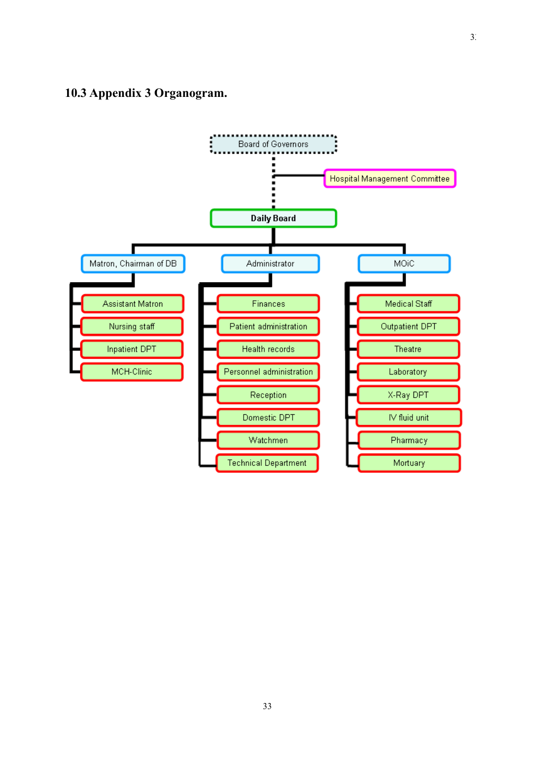## <span id="page-31-0"></span>**10.3 Appendix 3 Organogram.**

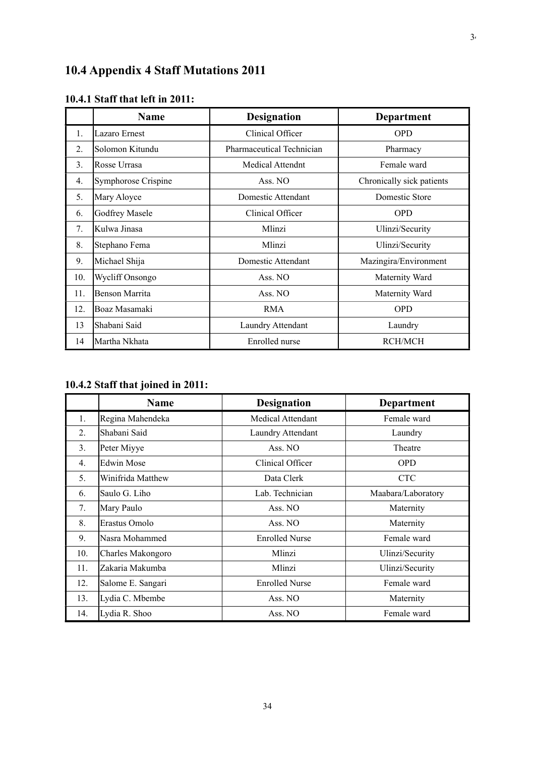# <span id="page-32-0"></span>**10.4 Appendix 4 Staff Mutations 2011**

|                  | <b>Name</b>         | <b>Designation</b>        | Department                |
|------------------|---------------------|---------------------------|---------------------------|
| 1.               | Lazaro Ernest       | Clinical Officer          | <b>OPD</b>                |
| $\overline{2}$ . | Solomon Kitundu     | Pharmaceutical Technician | Pharmacy                  |
| 3.               | Rosse Urrasa        | <b>Medical Attendnt</b>   | Female ward               |
| 4.               | Symphorose Crispine | Ass. NO                   | Chronically sick patients |
| 5.               | Mary Aloyce         | Domestic Attendant        | Domestic Store            |
| 6.               | Godfrey Masele      | Clinical Officer          | <b>OPD</b>                |
| 7 <sub>1</sub>   | Kulwa Jinasa        | Mlinzi                    | Ulinzi/Security           |
| 8.               | Stephano Fema       | Mlinzi                    | Ulinzi/Security           |
| 9.               | Michael Shija       | Domestic Attendant        | Mazingira/Environment     |
| 10.              | Wycliff Onsongo     | Ass. NO                   | Maternity Ward            |
| 11.              | Benson Marrita      | Ass. NO                   | Maternity Ward            |
| 12.              | Boaz Masamaki       | <b>RMA</b>                | <b>OPD</b>                |
| 13               | Shabani Said        | Laundry Attendant         | Laundry                   |
| 14               | Martha Nkhata       | Enrolled nurse            | RCH/MCH                   |

## <span id="page-32-1"></span>**10.4.1 Staff that left in 2011:**

# <span id="page-32-2"></span>**10.4.2 Staff that joined in 2011:**

|                  | <b>Name</b>       | <b>Designation</b>       | <b>Department</b>  |
|------------------|-------------------|--------------------------|--------------------|
| 1.               | Regina Mahendeka  | <b>Medical Attendant</b> | Female ward        |
| $\overline{2}$ . | Shabani Said      | Laundry Attendant        | Laundry            |
| 3.               | Peter Miyye       | Ass. NO                  | Theatre            |
| 4.               | <b>Edwin Mose</b> | Clinical Officer         | <b>OPD</b>         |
| 5.               | Winifrida Matthew | Data Clerk               | <b>CTC</b>         |
| 6.               | Saulo G. Liho     | Lab. Technician          | Maabara/Laboratory |
| 7.               | Mary Paulo        | Ass. NO                  | Maternity          |
| 8.               | Erastus Omolo     | Ass. NO                  | Maternity          |
| 9.               | Nasra Mohammed    | <b>Enrolled Nurse</b>    | Female ward        |
| 10.              | Charles Makongoro | Mlinzi                   | Ulinzi/Security    |
| 11.              | Zakaria Makumba   | Mlinzi                   | Ulinzi/Security    |
| 12.              | Salome E. Sangari | <b>Enrolled Nurse</b>    | Female ward        |
| 13.              | Lydia C. Mbembe   | Ass. NO                  | Maternity          |
| 14.              | Lydia R. Shoo     | Ass. NO                  | Female ward        |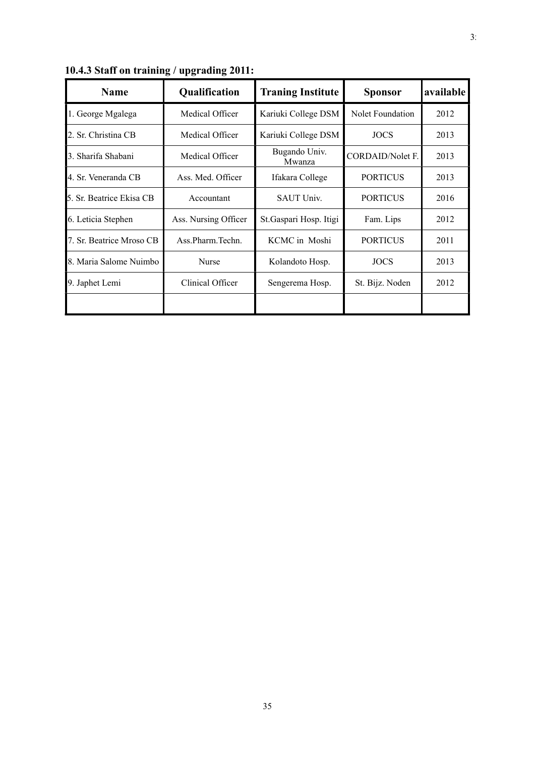| <b>Name</b>                        | Qualification        | <b>Traning Institute</b> | <b>Sponsor</b>          | available |
|------------------------------------|----------------------|--------------------------|-------------------------|-----------|
| 1. George Mgalega                  | Medical Officer      | Kariuki College DSM      | Nolet Foundation        | 2012      |
| 2. Sr. Christina CB                | Medical Officer      | Kariuki College DSM      | <b>JOCS</b>             | 2013      |
| 3. Sharifa Shabani                 | Medical Officer      | Bugando Univ.<br>Mwanza  | <b>CORDAID/Nolet F.</b> | 2013      |
| 4. Sr. Veneranda CB                | Ass. Med. Officer    | Ifakara College          | <b>PORTICUS</b>         | 2013      |
| 5. Sr. Beatrice Ekisa CB           | Accountant           | <b>SAUT Univ.</b>        | <b>PORTICUS</b>         | 2016      |
| 6. Leticia Stephen                 | Ass. Nursing Officer | St. Gaspari Hosp. Itigi  | Fam. Lips               | 2012      |
| 7. Sr. Beatrice Mroso CB           | Ass.Pharm.Techn.     | KCMC in Moshi            | <b>PORTICUS</b>         | 2011      |
| 8. Maria Salome Nuimbo             | Nurse                | Kolandoto Hosp.          | <b>JOCS</b>             | 2013      |
| 9. Japhet Lemi<br>Clinical Officer |                      | Sengerema Hosp.          | St. Bijz. Noden         | 2012      |
|                                    |                      |                          |                         |           |

<span id="page-33-0"></span>**10.4.3 Staff on training / upgrading 2011:**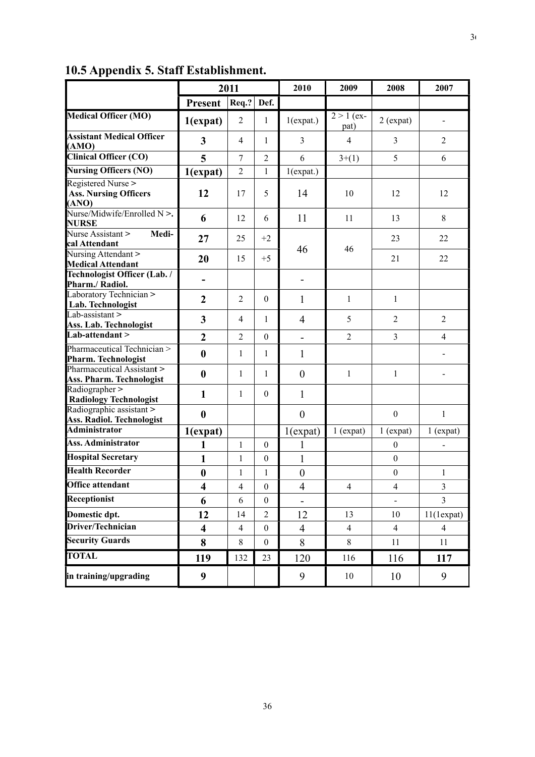|                                                             | 2011                    |                | 2010             | 2009                     | 2008                 | 2007             |                              |
|-------------------------------------------------------------|-------------------------|----------------|------------------|--------------------------|----------------------|------------------|------------------------------|
|                                                             | <b>Present</b>          | Req.?          | Def.             |                          |                      |                  |                              |
| <b>Medical Officer (MO)</b>                                 | $1$ (expat)             | $\overline{2}$ | $\mathbf{1}$     | $1$ (expat.)             | $2 > 1$ (ex-<br>pat) | $2$ (expat)      | $\qquad \qquad \blacksquare$ |
| <b>Assistant Medical Officer</b><br>(AMO)                   | 3                       | $\overline{4}$ | 1                | 3                        | $\overline{4}$       | 3                | $\overline{2}$               |
| <b>Clinical Officer (CO)</b>                                | 5                       | 7              | $\overline{2}$   | 6                        | $3+(1)$              | 5                | 6                            |
| <b>Nursing Officers (NO)</b>                                | $1$ (expat)             | $\overline{2}$ | $\mathbf{1}$     | $1$ (expat.)             |                      |                  |                              |
| Registered Nurse ><br><b>Ass. Nursing Officers</b><br>(ANO) | 12                      | 17             | 5                | 14                       | 10                   | 12               | 12                           |
| Nurse/Midwife/Enrolled N >.<br><b>NURSE</b>                 | 6                       | 12             | 6                | 11                       | 11                   | 13               | $\,$ 8 $\,$                  |
| Nurse Assistant ><br>Medi-<br>cal Attendant                 | 27                      | 25             | $+2$             |                          | 46                   | 23               | 22                           |
| Nursing Attendant ><br><b>Medical Attendant</b>             | 20                      | 15             | $+5$             | 46                       |                      | 21               | 22                           |
| Technologist Officer (Lab. /<br>Pharm./ Radiol.             |                         |                |                  | -                        |                      |                  |                              |
| Laboratory Technician ><br>Lab. Technologist                | $\overline{2}$          | $\overline{2}$ | $\theta$         | 1                        | $\mathbf{1}$         | $\mathbf{1}$     |                              |
| Lab-assistant ><br>Ass. Lab. Technologist                   | 3                       | 4              | $\mathbf{1}$     | 4                        | 5                    | $\overline{2}$   | $\overline{2}$               |
| Lab-attendant >                                             | $\overline{2}$          | $\overline{2}$ | $\Omega$         | $\overline{\phantom{0}}$ | $\overline{2}$       | $\overline{3}$   | $\overline{4}$               |
| Pharmaceutical Technician ><br>Pharm. Technologist          | $\bf{0}$                | 1              | $\mathbf{1}$     | 1                        |                      |                  |                              |
| Pharmaceutical Assistant ><br>Ass. Pharm. Technologist      | $\bf{0}$                | $\mathbf{1}$   | 1                | $\boldsymbol{0}$         | $\mathbf{1}$         | $\mathbf{1}$     |                              |
| Radiographer ><br><b>Radiology Technologist</b>             | 1                       | $\mathbf{1}$   | $\theta$         | $\mathbf{1}$             |                      |                  |                              |
| Radiographic assistant ><br>Ass. Radiol. Technologist       | $\bf{0}$                |                |                  | $\overline{0}$           |                      | $\boldsymbol{0}$ | $\mathbf{1}$                 |
| <b>Administrator</b>                                        | $1$ (expat)             |                |                  | $1$ (expat)              | $1$ (expat)          | $1$ (expat)      | $1$ (expat)                  |
| Ass. Administrator                                          | 1                       | $\mathbf{1}$   | $\mathbf{0}$     | 1                        |                      | $\boldsymbol{0}$ |                              |
| <b>Hospital Secretary</b>                                   | 1                       | $\mathbf{1}$   | $\boldsymbol{0}$ | $\mathbf{1}$             |                      | $\boldsymbol{0}$ |                              |
| <b>Health Recorder</b>                                      | $\bf{0}$                | $\mathbf{1}$   | 1                | $\boldsymbol{0}$         |                      | $\boldsymbol{0}$ | $\,1$                        |
| <b>Office attendant</b>                                     | $\overline{\mathbf{4}}$ | $\overline{4}$ | $\boldsymbol{0}$ | $\overline{4}$           | $\overline{4}$       | $\overline{4}$   | $\overline{3}$               |
| Receptionist                                                | 6                       | 6              | $\boldsymbol{0}$ |                          |                      |                  | 3                            |
| Domestic dpt.                                               | 12                      | 14             | $\overline{2}$   | 12                       | 13                   | 10               | 11(1expat)                   |
| Driver/Technician                                           | $\overline{\mathbf{4}}$ | $\overline{4}$ | $\boldsymbol{0}$ | $\overline{4}$           | $\overline{4}$       | $\overline{4}$   | $\overline{4}$               |
| <b>Security Guards</b>                                      | 8                       | $\,8\,$        | $\boldsymbol{0}$ | 8                        | 8                    | 11               | 11                           |
| <b>TOTAL</b>                                                | 119                     | 132            | 23               | 120                      | 116                  | 116              | 117                          |
| in training/upgrading                                       | $\boldsymbol{9}$        |                |                  | 9                        | 10                   | 10               | 9                            |

# <span id="page-34-0"></span>**10.5 Appendix 5. Staff Establishment.**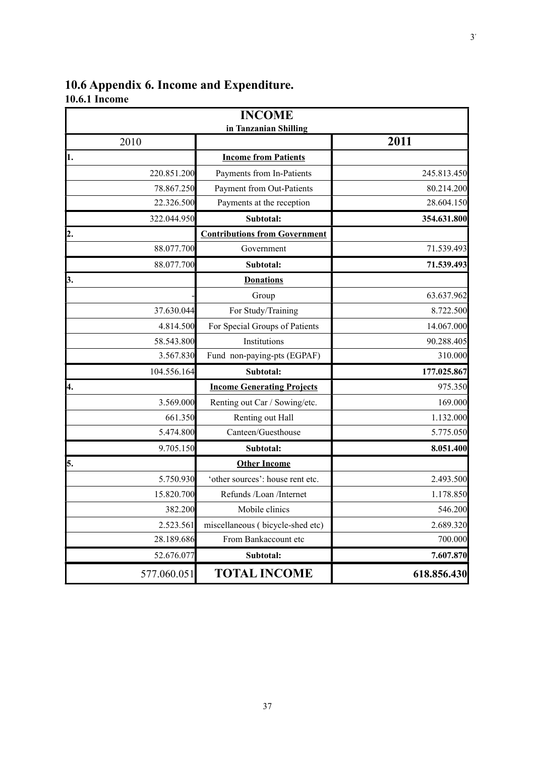## <span id="page-35-1"></span><span id="page-35-0"></span>**10.6 Appendix 6. Income and Expenditure. 10.6.1 Income**

|             | <b>INCOME</b><br>in Tanzanian Shilling |             |
|-------------|----------------------------------------|-------------|
| 2010        |                                        | 2011        |
| 1.          | <b>Income from Patients</b>            |             |
| 220.851.200 | Payments from In-Patients              | 245.813.450 |
| 78.867.250  | Payment from Out-Patients              | 80.214.200  |
| 22.326.500  | Payments at the reception              | 28.604.150  |
| 322.044.950 | Subtotal:                              | 354.631.800 |
| 2.          | <b>Contributions from Government</b>   |             |
| 88.077.700  | Government                             | 71.539.493  |
| 88.077.700  | Subtotal:                              | 71.539.493  |
| 3.          | <b>Donations</b>                       |             |
|             | Group                                  | 63.637.962  |
| 37.630.044  | For Study/Training                     | 8.722.500   |
| 4.814.500   | For Special Groups of Patients         | 14.067.000  |
| 58.543.800  | Institutions                           | 90.288.405  |
| 3.567.830   | Fund non-paying-pts (EGPAF)            | 310.000     |
| 104.556.164 | Subtotal:                              | 177.025.867 |
| 4.          | <b>Income Generating Projects</b>      | 975.350     |
| 3.569.000   | Renting out Car / Sowing/etc.          | 169.000     |
| 661.350     | Renting out Hall                       | 1.132.000   |
| 5.474.800   | Canteen/Guesthouse                     | 5.775.050   |
| 9.705.150   | Subtotal:                              | 8.051.400   |
| 5.          | <b>Other Income</b>                    |             |
| 5.750.930   | 'other sources': house rent etc.       | 2.493.500   |
| 15.820.700  | Refunds /Loan /Internet                | 1.178.850   |
| 382.200     | Mobile clinics                         | 546.200     |
| 2.523.561   | miscellaneous (bicycle-shed etc)       | 2.689.320   |
| 28.189.686  | From Bankaccount etc                   | 700.000     |
| 52.676.077  | Subtotal:                              | 7.607.870   |
| 577.060.051 | <b>TOTAL INCOME</b>                    | 618.856.430 |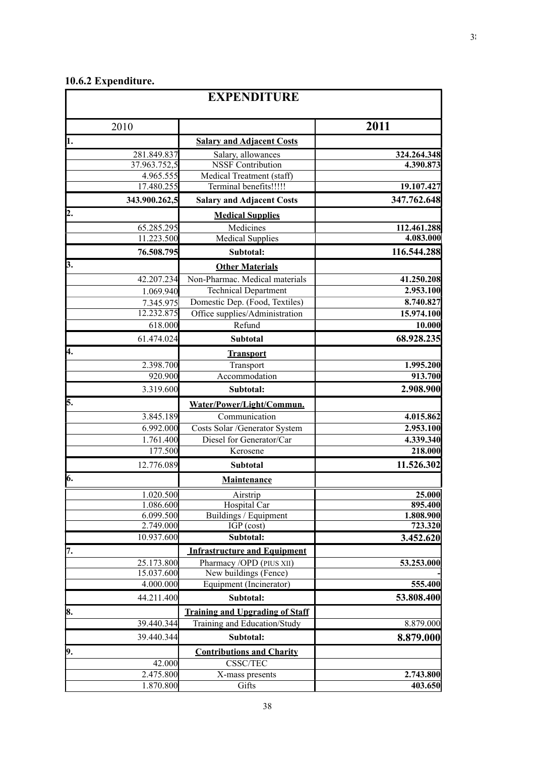## <span id="page-36-0"></span>**10.6.2 Expenditure.**

|     |                         | <b>EXPENDITURE</b>                                                     |                       |
|-----|-------------------------|------------------------------------------------------------------------|-----------------------|
|     | 2010                    |                                                                        | 2011                  |
| h.  |                         | <b>Salary and Adjacent Costs</b>                                       |                       |
|     | 281.849.837             | Salary, allowances                                                     | 324.264.348           |
|     | 37.963.752,5            | <b>NSSF</b> Contribution                                               | 4.390.873             |
|     | 4.965.555               | Medical Treatment (staff)                                              |                       |
|     | 17.480.255              | Terminal benefits!!!!!                                                 | 19.107.427            |
|     | 343.900.262,5           | <b>Salary and Adjacent Costs</b>                                       | 347.762.648           |
| 2.  |                         | <b>Medical Supplies</b>                                                |                       |
|     | 65.285.295              | Medicines                                                              | 112.461.288           |
|     | 11.223.500              | <b>Medical Supplies</b>                                                | 4.083.000             |
|     | 76.508.795              | Subtotal:                                                              | 116.544.288           |
| 3.  |                         | <b>Other Materials</b>                                                 |                       |
|     | 42.207.234              | Non-Pharmac. Medical materials                                         | 41.250.208            |
|     | 1.069.940               | <b>Technical Department</b>                                            | 2.953.100             |
|     | 7.345.975               | Domestic Dep. (Food, Textiles)                                         | 8.740.827             |
|     | 12.232.875              | Office supplies/Administration                                         | 15.974.100            |
|     | 618.000                 | Refund                                                                 | 10.000                |
|     | 61.474.024              | <b>Subtotal</b>                                                        | 68.928.235            |
| 4.  |                         | <b>Transport</b>                                                       |                       |
|     | 2.398.700               | Transport                                                              | 1.995.200             |
|     | 920.900                 | Accommodation                                                          | 913.700               |
|     | 3.319.600               | Subtotal:                                                              | 2.908.900             |
| 5.  |                         | Water/Power/Light/Commun.                                              |                       |
|     | 3.845.189               | Communication                                                          | 4.015.862             |
|     | 6.992.000               | Costs Solar /Generator System                                          | 2.953.100             |
|     | 1.761.400               | Diesel for Generator/Car                                               | 4.339.340             |
|     | 177.500                 | Kerosene                                                               | 218.000               |
|     | 12.776.089              | Subtotal                                                               | 11.526.302            |
| 6.  |                         | Maintenance                                                            |                       |
|     | 1.020.500               | Airstrip                                                               | 25.000                |
|     | 1.086.600               | Hospital Car                                                           | 895.400               |
|     | 6.099.500               | Buildings / Equipment                                                  | 1.808.900             |
|     | 2.749.000               | $IGP$ (cost)                                                           | 723.320               |
|     | 10.937.600              | Subtotal:                                                              | 3.452.620             |
| 17. |                         | <b>Infrastructure and Equipment</b>                                    |                       |
|     | 25.173.800              | Pharmacy /OPD (PIUS XII)                                               | 53.253.000            |
|     | 15.037.600<br>4.000.000 | New buildings (Fence)<br>Equipment (Incinerator)                       |                       |
|     | 44.211.400              | Subtotal:                                                              | 555.400<br>53.808.400 |
|     |                         |                                                                        |                       |
| 8.  | 39.440.344              | <b>Training and Upgrading of Staff</b><br>Training and Education/Study |                       |
|     |                         | Subtotal:                                                              | 8.879.000             |
|     | 39.440.344              |                                                                        | 8.879.000             |
| 9.  |                         | <b>Contributions and Charity</b>                                       |                       |
|     | 42.000<br>2.475.800     | CSSC/TEC<br>X-mass presents                                            | 2.743.800             |
|     | 1.870.800               | Gifts                                                                  | 403.650               |
|     |                         |                                                                        |                       |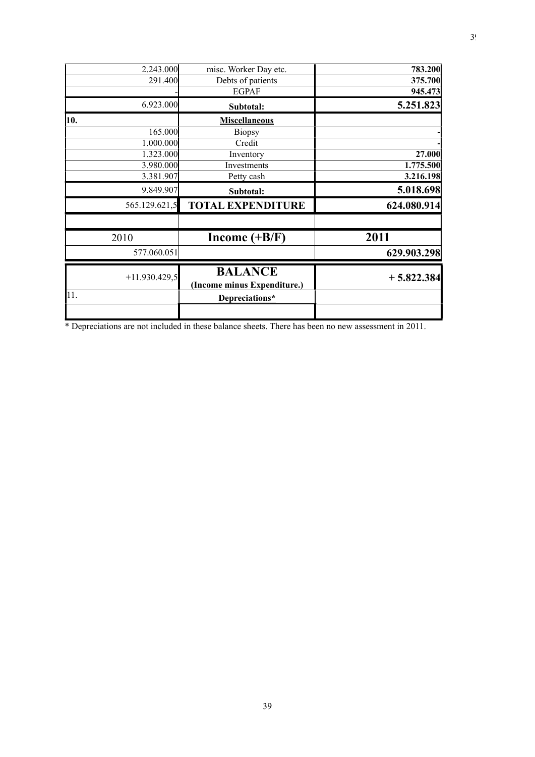| 2.243.000       | misc. Worker Day etc.                         | 783.200      |
|-----------------|-----------------------------------------------|--------------|
| 291.400         | Debts of patients                             | 375.700      |
|                 | <b>EGPAF</b>                                  | 945.473      |
| 6.923.000       | Subtotal:                                     | 5.251.823    |
| 10.             | <b>Miscellaneous</b>                          |              |
| 165.000         | <b>Biopsy</b>                                 |              |
| 1.000.000       | Credit                                        |              |
| 1.323.000       | Inventory                                     | 27.000       |
| 3.980.000       | Investments                                   | 1.775.500    |
| 3.381.907       | Petty cash                                    | 3.216.198    |
| 9.849.907       | Subtotal:                                     | 5.018.698    |
| 565.129.621,5   | <b>TOTAL EXPENDITURE</b>                      | 624.080.914  |
| 2010            | Income $(+B/F)$                               | 2011         |
| 577.060.051     |                                               | 629.903.298  |
| $+11.930.429,5$ | <b>BALANCE</b><br>(Income minus Expenditure.) | $+5.822.384$ |
| 11.             | Depreciations*                                |              |
|                 |                                               |              |

\* Depreciations are not included in these balance sheets. There has been no new assessment in 2011.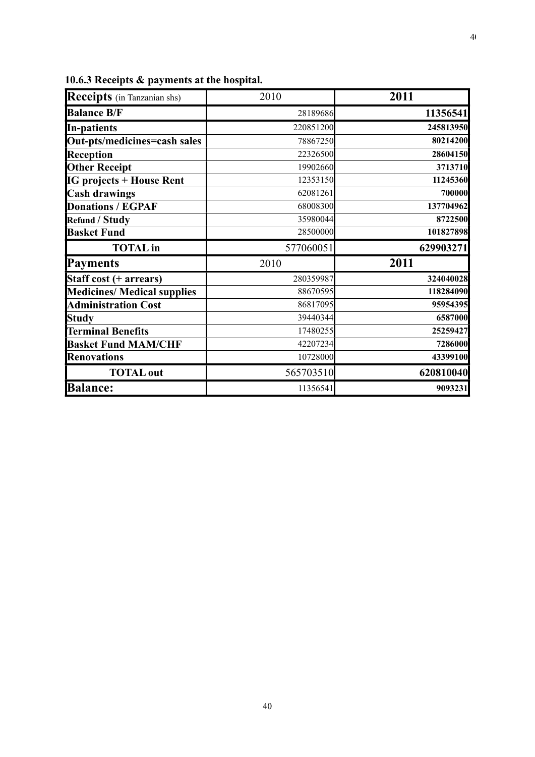| Receipts (in Tanzanian shs)                                  | 2010      | 2011                                                                 |
|--------------------------------------------------------------|-----------|----------------------------------------------------------------------|
| <b>Balance B/F</b>                                           | 28189686  | 11356541                                                             |
| In-patients                                                  | 220851200 | 245813950                                                            |
| Out-pts/medicines=cash sales                                 | 78867250  | 80214200                                                             |
| Reception                                                    | 22326500  | 28604150                                                             |
| <b>Other Receipt</b>                                         | 19902660  | 3713710                                                              |
| <b>IG projects + House Rent</b>                              | 12353150  | 11245360                                                             |
| <b>Cash drawings</b>                                         | 62081261  | 700000                                                               |
| <b>Donations / EGPAF</b>                                     | 68008300  | 137704962                                                            |
| <b>Refund / Study</b>                                        | 35980044  | 8722500                                                              |
| <b>Basket Fund</b>                                           | 28500000  | 101827898                                                            |
|                                                              |           |                                                                      |
| <b>TOTAL</b> in                                              | 577060051 | 629903271                                                            |
| <b>Payments</b>                                              | 2010      | 2011                                                                 |
|                                                              | 280359987 |                                                                      |
| Staff cost (+ arrears)<br><b>Medicines/ Medical supplies</b> | 88670595  |                                                                      |
| <b>Administration Cost</b>                                   | 86817095  |                                                                      |
| <b>Study</b>                                                 | 39440344  |                                                                      |
| <b>Terminal Benefits</b>                                     | 17480255  |                                                                      |
| <b>Basket Fund MAM/CHF</b>                                   | 42207234  | 324040028<br>118284090<br>95954395<br>6587000<br>25259427<br>7286000 |
| <b>Renovations</b>                                           | 10728000  | 43399100                                                             |
| <b>TOTAL</b> out                                             | 565703510 | 620810040                                                            |

<span id="page-38-0"></span>**10.6.3 Receipts & payments at the hospital.**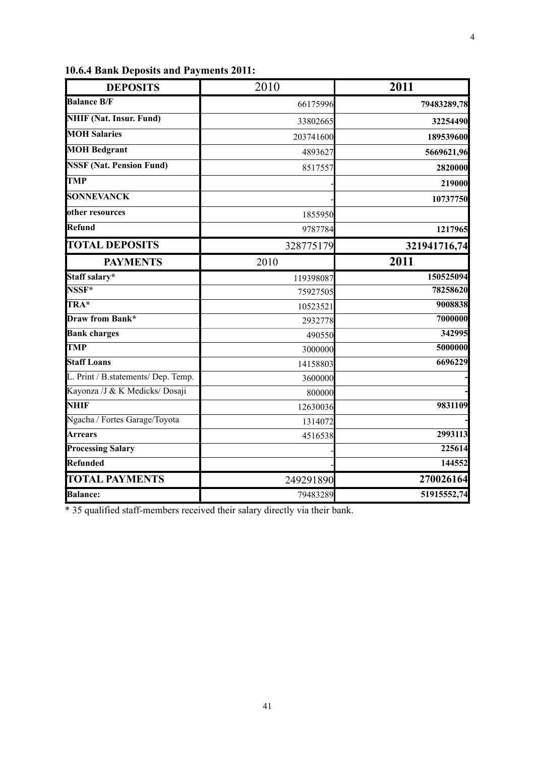| <b>DEPOSITS</b>                     | 2010      | 2011         |
|-------------------------------------|-----------|--------------|
| <b>Balance B/F</b>                  | 66175996  | 79483289,78  |
| <b>NHIF (Nat. Insur. Fund)</b>      | 33802665  | 32254490     |
| <b>MOH Salaries</b>                 | 203741600 | 189539600    |
| <b>MOH Bedgrant</b>                 | 4893627   | 5669621,96   |
| <b>NSSF (Nat. Pension Fund)</b>     | 8517557   | 2820000      |
| <b>TMP</b>                          |           | 219000       |
| <b>SONNEVANCK</b>                   |           | 10737750     |
| other resources                     | 1855950   |              |
| Refund                              | 9787784   | 1217965      |
| <b>TOTAL DEPOSITS</b>               | 328775179 | 321941716,74 |
| <b>PAYMENTS</b>                     | 2010      | 2011         |
| Staff salary*                       | 119398087 | 150525094    |
| NSSF*                               | 75927505  | 78258620     |
| TRA*                                | 10523521  | 9008838      |
| <b>Draw from Bank*</b>              | 2932778   | 7000000      |
| <b>Bank charges</b>                 | 490550    | 342995       |
| <b>TMP</b>                          | 3000000   | 5000000      |
| <b>Staff Loans</b>                  | 14158803  | 6696229      |
| L. Print / B.statements/ Dep. Temp. | 3600000   |              |
| Kayonza /J & K Medicks/ Dosaji      | 800000    |              |
| <b>NHIF</b>                         | 12630036  | 9831109      |
| Ngacha / Fortes Garage/Toyota       | 1314072   |              |
| <b>Arrears</b>                      | 4516538   | 2993113      |
| <b>Processing Salary</b>            |           | 225614       |
| Refunded                            |           | 144552       |
| <b>TOTAL PAYMENTS</b>               | 249291890 | 270026164    |
| <b>Balance:</b>                     | 79483289  | 51915552,74  |

<span id="page-39-0"></span>**10.6.4 Bank Deposits and Payments 2011:** 

\* 35 qualified staff-members received their salary directly via their bank.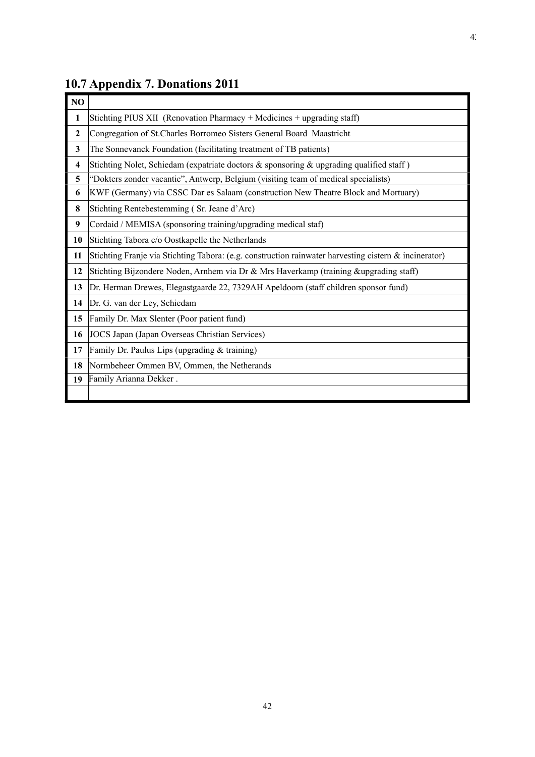| N <sub>O</sub> |                                                                                                       |
|----------------|-------------------------------------------------------------------------------------------------------|
| 1              | Stichting PIUS XII (Renovation Pharmacy + Medicines + upgrading staff)                                |
| $\overline{2}$ | Congregation of St.Charles Borromeo Sisters General Board Maastricht                                  |
| 3              | The Sonnevanck Foundation (facilitating treatment of TB patients)                                     |
| 4              | Stichting Nolet, Schiedam (expatriate doctors & sponsoring & upgrading qualified staff)               |
| 5              | "Dokters zonder vacantie", Antwerp, Belgium (visiting team of medical specialists)                    |
| 6              | KWF (Germany) via CSSC Dar es Salaam (construction New Theatre Block and Mortuary)                    |
| 8              | Stichting Rentebestemming (Sr. Jeane d'Arc)                                                           |
| 9              | Cordaid / MEMISA (sponsoring training/upgrading medical staf)                                         |
| 10             | Stichting Tabora c/o Oostkapelle the Netherlands                                                      |
| 11             | Stichting Franje via Stichting Tabora: (e.g. construction rainwater harvesting cistern & incinerator) |
| 12             | Stichting Bijzondere Noden, Arnhem via Dr & Mrs Haverkamp (training &upgrading staff)                 |
| 13             | Dr. Herman Drewes, Elegastgaarde 22, 7329AH Apeldoorn (staff children sponsor fund)                   |
| 14             | Dr. G. van der Ley, Schiedam                                                                          |
| 15             | Family Dr. Max Slenter (Poor patient fund)                                                            |
| 16             | JOCS Japan (Japan Overseas Christian Services)                                                        |
| 17             | Family Dr. Paulus Lips (upgrading & training)                                                         |
| 18             | Normbeheer Ommen BV, Ommen, the Netherands                                                            |
| 19             | Family Arianna Dekker.                                                                                |
|                |                                                                                                       |

# <span id="page-40-0"></span>**10.7 Appendix 7. Donations 2011**